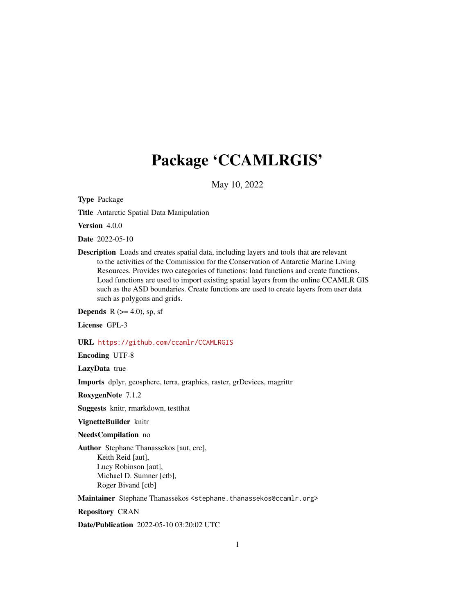# Package 'CCAMLRGIS'

May 10, 2022

<span id="page-0-0"></span>Type Package

Title Antarctic Spatial Data Manipulation

Version 4.0.0

Date 2022-05-10

Description Loads and creates spatial data, including layers and tools that are relevant to the activities of the Commission for the Conservation of Antarctic Marine Living Resources. Provides two categories of functions: load functions and create functions. Load functions are used to import existing spatial layers from the online CCAMLR GIS such as the ASD boundaries. Create functions are used to create layers from user data such as polygons and grids.

**Depends** R  $(>= 4.0)$ , sp, sf

License GPL-3

URL <https://github.com/ccamlr/CCAMLRGIS>

Encoding UTF-8

LazyData true

Imports dplyr, geosphere, terra, graphics, raster, grDevices, magrittr

RoxygenNote 7.1.2

Suggests knitr, rmarkdown, testthat

VignetteBuilder knitr

NeedsCompilation no

Author Stephane Thanassekos [aut, cre], Keith Reid [aut], Lucy Robinson [aut], Michael D. Sumner [ctb], Roger Bivand [ctb]

Maintainer Stephane Thanassekos <stephane.thanassekos@ccamlr.org>

Repository CRAN

Date/Publication 2022-05-10 03:20:02 UTC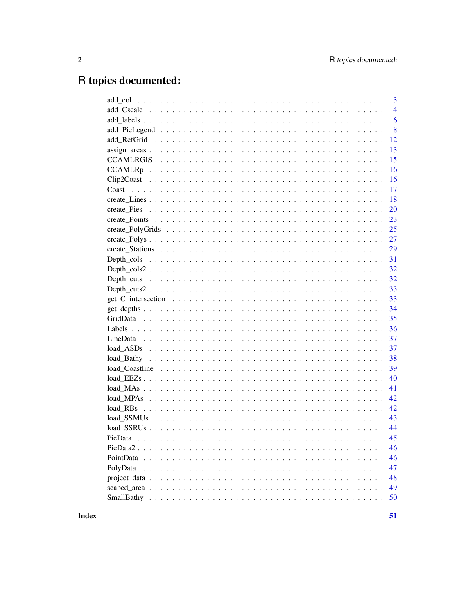# R topics documented:

|                                                                                                         | $\overline{3}$ |
|---------------------------------------------------------------------------------------------------------|----------------|
|                                                                                                         | $\overline{4}$ |
|                                                                                                         | 6              |
|                                                                                                         | 8              |
|                                                                                                         | 12             |
|                                                                                                         | 13             |
|                                                                                                         | 15             |
|                                                                                                         | 16             |
|                                                                                                         | 16             |
|                                                                                                         | 17             |
|                                                                                                         | 18             |
|                                                                                                         | 20             |
|                                                                                                         | 23             |
|                                                                                                         | 25             |
|                                                                                                         | 27             |
|                                                                                                         | 29             |
|                                                                                                         | 31             |
|                                                                                                         | 32             |
|                                                                                                         | 32             |
|                                                                                                         | 33             |
|                                                                                                         | 33             |
|                                                                                                         | 34             |
|                                                                                                         | 35             |
|                                                                                                         | 36             |
|                                                                                                         | 37             |
|                                                                                                         | 37             |
|                                                                                                         | 38             |
|                                                                                                         | 39             |
| $load\_EEZs \ldots \ldots \ldots \ldots \ldots \ldots \ldots \ldots \ldots \ldots \ldots \ldots \ldots$ | 40             |
|                                                                                                         | 41             |
|                                                                                                         | 42             |
| load RBs                                                                                                | 42             |
|                                                                                                         | 43             |
|                                                                                                         | 44             |
|                                                                                                         | 45             |
| $PieData2$                                                                                              | 46             |
|                                                                                                         | 46             |
| PolyData                                                                                                | 47             |
|                                                                                                         | 48             |
|                                                                                                         | 49             |
|                                                                                                         | 50             |
|                                                                                                         |                |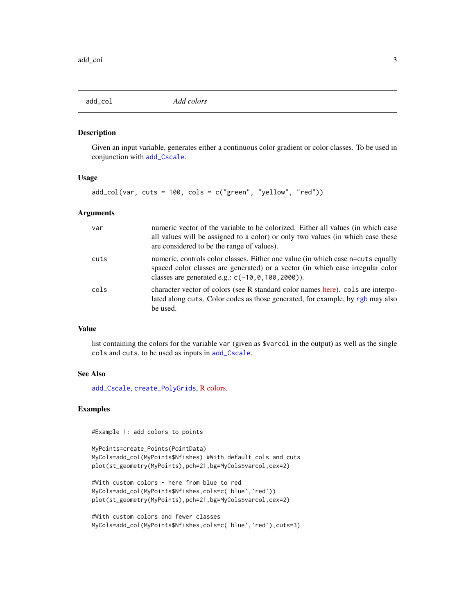<span id="page-2-1"></span><span id="page-2-0"></span>

#### Description

Given an input variable, generates either a continuous color gradient or color classes. To be used in conjunction with [add\\_Cscale](#page-3-1).

#### Usage

 $add\_col(var, cuts = 100, colors = c("green", "yellow", "red"))$ 

### Arguments

| var  | numeric vector of the variable to be colorized. Either all values (in which case<br>all values will be assigned to a color) or only two values (in which case these<br>are considered to be the range of values).          |
|------|----------------------------------------------------------------------------------------------------------------------------------------------------------------------------------------------------------------------------|
| cuts | numeric, controls color classes. Either one value (in which case n=cuts equally<br>spaced color classes are generated) or a vector (in which case irregular color<br>classes are generated e.g.: $c(-10, 0, 100, 2000)$ ). |
| cols | character vector of colors (see R standard color names here). cols are interpo-<br>lated along cuts. Color codes as those generated, for example, by rgb may also<br>be used.                                              |

### Value

list containing the colors for the variable var (given as \$varcol in the output) as well as the single cols and cuts, to be used as inputs in [add\\_Cscale](#page-3-1).

#### See Also

[add\\_Cscale](#page-3-1), [create\\_PolyGrids](#page-24-1), [R colors.](http://www.stat.columbia.edu/~tzheng/files/Rcolor.pdf)

### Examples

#Example 1: add colors to points

MyPoints=create\_Points(PointData) MyCols=add\_col(MyPoints\$Nfishes) #With default cols and cuts plot(st\_geometry(MyPoints),pch=21,bg=MyCols\$varcol,cex=2)

```
#With custom colors - here from blue to red
MyCols=add_col(MyPoints$Nfishes,cols=c('blue','red'))
plot(st_geometry(MyPoints),pch=21,bg=MyCols$varcol,cex=2)
```

```
#With custom colors and fewer classes
MyCols=add_col(MyPoints$Nfishes,cols=c('blue','red'),cuts=3)
```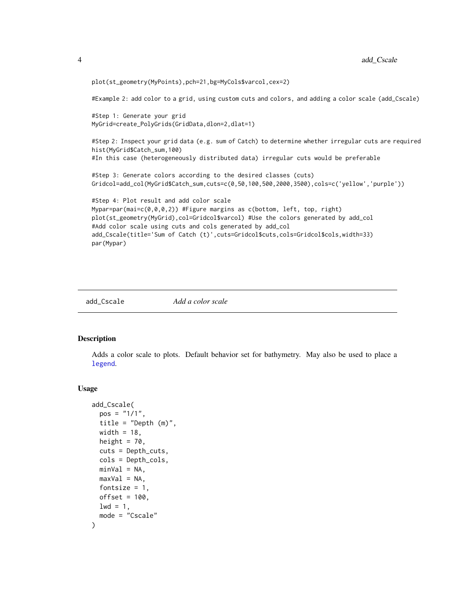```
plot(st_geometry(MyPoints),pch=21,bg=MyCols$varcol,cex=2)
#Example 2: add color to a grid, using custom cuts and colors, and adding a color scale (add_Cscale)
#Step 1: Generate your grid
MyGrid=create_PolyGrids(GridData,dlon=2,dlat=1)
#Step 2: Inspect your grid data (e.g. sum of Catch) to determine whether irregular cuts are required
hist(MyGrid$Catch_sum,100)
#In this case (heterogeneously distributed data) irregular cuts would be preferable
#Step 3: Generate colors according to the desired classes (cuts)
Gridcol=add_col(MyGrid$Catch_sum,cuts=c(0,50,100,500,2000,3500),cols=c('yellow','purple'))
#Step 4: Plot result and add color scale
Mypar=par(mai=c(0,0,0,2)) #Figure margins as c(bottom, left, top, right)
plot(st_geometry(MyGrid),col=Gridcol$varcol) #Use the colors generated by add_col
#Add color scale using cuts and cols generated by add_col
add_Cscale(title='Sum of Catch (t)',cuts=Gridcol$cuts,cols=Gridcol$cols,width=33)
par(Mypar)
```
<span id="page-3-1"></span>

add\_Cscale *Add a color scale*

#### Description

Adds a color scale to plots. Default behavior set for bathymetry. May also be used to place a [legend](#page-0-0).

#### Usage

```
add_Cscale(
  pos = "1/1",title = "Depth (m)",
 width = 18,
  height = 70,
  cuts = Depth_cuts,
  cols = Depth_cols,
 minVal = NA,
 maxVal = NA,
 fontsize = 1,
 offset = 100.
 1wd = 1,
 mode = "Cscale"
)
```
<span id="page-3-0"></span>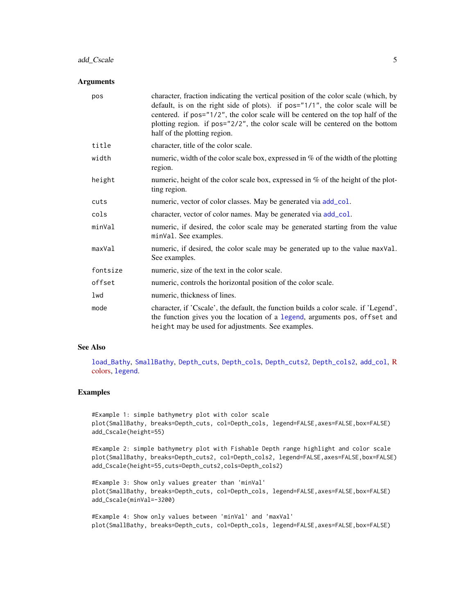### <span id="page-4-0"></span>add\_Cscale 5

#### Arguments

| pos      | character, fraction indicating the vertical position of the color scale (which, by<br>default, is on the right side of plots). if $pos="1/1"$ , the color scale will be<br>centered. if pos="1/2", the color scale will be centered on the top half of the<br>plotting region. if pos="2/2", the color scale will be centered on the bottom<br>half of the plotting region. |
|----------|-----------------------------------------------------------------------------------------------------------------------------------------------------------------------------------------------------------------------------------------------------------------------------------------------------------------------------------------------------------------------------|
| title    | character, title of the color scale.                                                                                                                                                                                                                                                                                                                                        |
| width    | numeric, width of the color scale box, expressed in $\%$ of the width of the plotting<br>region.                                                                                                                                                                                                                                                                            |
| height   | numeric, height of the color scale box, expressed in $%$ of the height of the plot-<br>ting region.                                                                                                                                                                                                                                                                         |
| cuts     | numeric, vector of color classes. May be generated via add_col.                                                                                                                                                                                                                                                                                                             |
| cols     | character, vector of color names. May be generated via add_col.                                                                                                                                                                                                                                                                                                             |
| minVal   | numeric, if desired, the color scale may be generated starting from the value<br>minVal. See examples.                                                                                                                                                                                                                                                                      |
| maxVal   | numeric, if desired, the color scale may be generated up to the value maxVal.<br>See examples.                                                                                                                                                                                                                                                                              |
| fontsize | numeric, size of the text in the color scale.                                                                                                                                                                                                                                                                                                                               |
| offset   | numeric, controls the horizontal position of the color scale.                                                                                                                                                                                                                                                                                                               |
| lwd      | numeric, thickness of lines.                                                                                                                                                                                                                                                                                                                                                |
| mode     | character, if 'Cscale', the default, the function builds a color scale. if 'Legend',<br>the function gives you the location of a legend, arguments pos, offset and<br>height may be used for adjustments. See examples.                                                                                                                                                     |

#### See Also

[load\\_Bathy](#page-37-1), [SmallBathy](#page-49-1), [Depth\\_cuts](#page-31-1), [Depth\\_cols](#page-30-1), [Depth\\_cuts2](#page-32-1), [Depth\\_cols2](#page-31-2), [add\\_col](#page-2-1), [R](http://www.stat.columbia.edu/~tzheng/files/Rcolor.pdf) [colors,](http://www.stat.columbia.edu/~tzheng/files/Rcolor.pdf) [legend](#page-0-0).

### Examples

#Example 1: simple bathymetry plot with color scale plot(SmallBathy, breaks=Depth\_cuts, col=Depth\_cols, legend=FALSE,axes=FALSE,box=FALSE) add\_Cscale(height=55)

#Example 2: simple bathymetry plot with Fishable Depth range highlight and color scale plot(SmallBathy, breaks=Depth\_cuts2, col=Depth\_cols2, legend=FALSE,axes=FALSE,box=FALSE) add\_Cscale(height=55,cuts=Depth\_cuts2,cols=Depth\_cols2)

#Example 3: Show only values greater than 'minVal' plot(SmallBathy, breaks=Depth\_cuts, col=Depth\_cols, legend=FALSE,axes=FALSE,box=FALSE) add\_Cscale(minVal=-3200)

#Example 4: Show only values between 'minVal' and 'maxVal' plot(SmallBathy, breaks=Depth\_cuts, col=Depth\_cols, legend=FALSE,axes=FALSE,box=FALSE)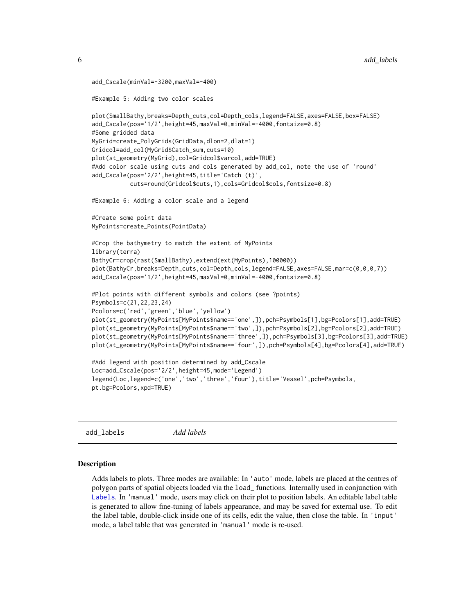```
add_Cscale(minVal=-3200,maxVal=-400)
#Example 5: Adding two color scales
plot(SmallBathy,breaks=Depth_cuts,col=Depth_cols,legend=FALSE,axes=FALSE,box=FALSE)
add_Cscale(pos='1/2',height=45,maxVal=0,minVal=-4000,fontsize=0.8)
#Some gridded data
MyGrid=create_PolyGrids(GridData,dlon=2,dlat=1)
Gridcol=add_col(MyGrid$Catch_sum,cuts=10)
plot(st_geometry(MyGrid),col=Gridcol$varcol,add=TRUE)
#Add color scale using cuts and cols generated by add_col, note the use of 'round'
add_Cscale(pos='2/2',height=45,title='Catch (t)',
           cuts=round(Gridcol$cuts,1),cols=Gridcol$cols,fontsize=0.8)
#Example 6: Adding a color scale and a legend
#Create some point data
MyPoints=create_Points(PointData)
#Crop the bathymetry to match the extent of MyPoints
library(terra)
BathyCr=crop(rast(SmallBathy),extend(ext(MyPoints),100000))
plot(BathyCr,breaks=Depth_cuts,col=Depth_cols,legend=FALSE,axes=FALSE,mar=c(0,0,0,7))
add_Cscale(pos='1/2',height=45,maxVal=0,minVal=-4000,fontsize=0.8)
#Plot points with different symbols and colors (see ?points)
Psymbols=c(21,22,23,24)
Pcolors=c('red','green','blue','yellow')
plot(st_geometry(MyPoints[MyPoints$name=='one',]),pch=Psymbols[1],bg=Pcolors[1],add=TRUE)
plot(st_geometry(MyPoints[MyPoints$name=='two',]),pch=Psymbols[2],bg=Pcolors[2],add=TRUE)
plot(st_geometry(MyPoints[MyPoints$name=='three',]),pch=Psymbols[3],bg=Pcolors[3],add=TRUE)
plot(st_geometry(MyPoints[MyPoints$name=='four',]),pch=Psymbols[4],bg=Pcolors[4],add=TRUE)
#Add legend with position determined by add_Cscale
Loc=add_Cscale(pos='2/2',height=45,mode='Legend')
legend(Loc,legend=c('one','two','three','four'),title='Vessel',pch=Psymbols,
pt.bg=Pcolors,xpd=TRUE)
```
<span id="page-5-1"></span>add\_labels *Add labels*

#### **Description**

Adds labels to plots. Three modes are available: In 'auto' mode, labels are placed at the centres of polygon parts of spatial objects loaded via the load\_ functions. Internally used in conjunction with [Labels](#page-35-1). In 'manual' mode, users may click on their plot to position labels. An editable label table is generated to allow fine-tuning of labels appearance, and may be saved for external use. To edit the label table, double-click inside one of its cells, edit the value, then close the table. In 'input' mode, a label table that was generated in 'manual' mode is re-used.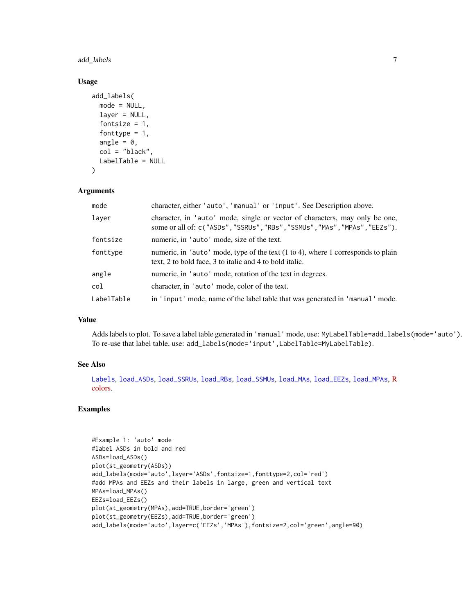<span id="page-6-0"></span>add\_labels 7

### Usage

```
add_labels(
 mode = NULL,
  layer = NULL,
  fontsize = 1,
  fonttype = 1,
  angle = 0,
  col = "black"LabelTable = NULL
)
```
### Arguments

| mode       | character, either 'auto', 'manual' or 'input'. See Description above.                                                                                     |
|------------|-----------------------------------------------------------------------------------------------------------------------------------------------------------|
| layer      | character, in 'auto' mode, single or vector of characters, may only be one,<br>some or all of: c("ASDs", "SSRUs", "RBs", "SSMUs", "MAs", "MPAs", "EEZs"). |
| fontsize   | numeric, in 'auto' mode, size of the text.                                                                                                                |
| fonttype   | numeric, in 'auto' mode, type of the text $(1 \text{ to } 4)$ , where 1 corresponds to plain<br>text, 2 to bold face, 3 to italic and 4 to bold italic.   |
| angle      | numeric, in 'auto' mode, rotation of the text in degrees.                                                                                                 |
| col        | character, in 'auto' mode, color of the text.                                                                                                             |
| LabelTable | in 'input' mode, name of the label table that was generated in 'manual' mode.                                                                             |

### Value

Adds labels to plot. To save a label table generated in 'manual' mode, use: MyLabelTable=add\_labels(mode='auto'). To re-use that label table, use: add\_labels(mode='input',LabelTable=MyLabelTable).

#### See Also

[Labels](#page-35-1), [load\\_ASDs](#page-36-1), [load\\_SSRUs](#page-43-1), [load\\_RBs](#page-41-1), [load\\_SSMUs](#page-42-1), [load\\_MAs](#page-40-1), [load\\_EEZs](#page-39-1), [load\\_MPAs](#page-41-2), [R](http://www.stat.columbia.edu/~tzheng/files/Rcolor.pdf) [colors.](http://www.stat.columbia.edu/~tzheng/files/Rcolor.pdf)

### Examples

```
#Example 1: 'auto' mode
#label ASDs in bold and red
ASDs=load_ASDs()
plot(st_geometry(ASDs))
add_labels(mode='auto',layer='ASDs',fontsize=1,fonttype=2,col='red')
#add MPAs and EEZs and their labels in large, green and vertical text
MPAs=load_MPAs()
EEZs=load_EEZs()
plot(st_geometry(MPAs),add=TRUE,border='green')
plot(st_geometry(EEZs),add=TRUE,border='green')
add_labels(mode='auto',layer=c('EEZs','MPAs'),fontsize=2,col='green',angle=90)
```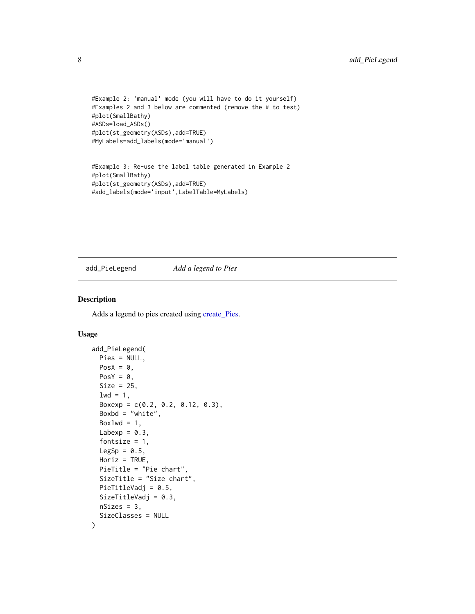```
#Example 2: 'manual' mode (you will have to do it yourself)
#Examples 2 and 3 below are commented (remove the # to test)
#plot(SmallBathy)
#ASDs=load_ASDs()
#plot(st_geometry(ASDs),add=TRUE)
#MyLabels=add_labels(mode='manual')
```

```
#Example 3: Re-use the label table generated in Example 2
#plot(SmallBathy)
#plot(st_geometry(ASDs),add=TRUE)
#add_labels(mode='input',LabelTable=MyLabels)
```
<span id="page-7-1"></span>add\_PieLegend *Add a legend to Pies*

### Description

Adds a legend to pies created using [create\\_Pies.](#page-19-1)

### Usage

```
add_PieLegend(
 Pies = NULL,
 PosX = \theta,
 PosY = 0,
  Size = 25,
  1wd = 1,
  Boxexp = c(0.2, 0.2, 0.12, 0.3),
  Boxbd = "white",Boxlwd = 1,
 Labexp = 0.3,
  fontsize = 1,
 LegSp = 0.5,
  Horiz = TRUE,
  PieTitle = "Pie chart",
  SizeTitle = "Size chart",
 PieTitleVadj = 0.5,
  SizeTitleVadj = 0.3,
  nsizes = 3,
  SizeClasses = NULL
)
```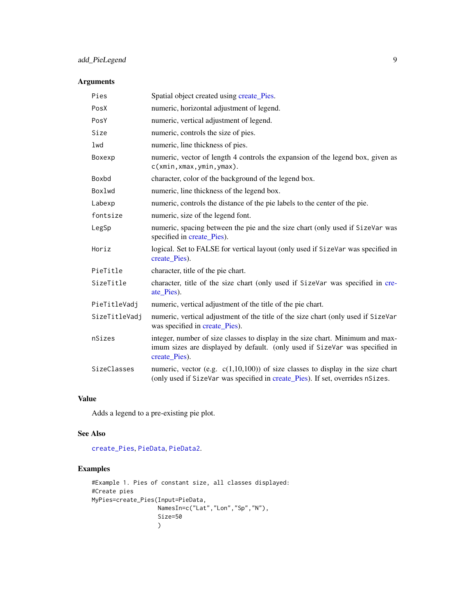### <span id="page-8-0"></span>add\_PieLegend 9

### Arguments

| Pies          | Spatial object created using create_Pies.                                                                                                                                      |
|---------------|--------------------------------------------------------------------------------------------------------------------------------------------------------------------------------|
| PosX          | numeric, horizontal adjustment of legend.                                                                                                                                      |
| PosY          | numeric, vertical adjustment of legend.                                                                                                                                        |
| Size          | numeric, controls the size of pies.                                                                                                                                            |
| lwd           | numeric, line thickness of pies.                                                                                                                                               |
| Boxexp        | numeric, vector of length 4 controls the expansion of the legend box, given as<br>c(xmin, xmax, ymin, ymax).                                                                   |
| Boxbd         | character, color of the background of the legend box.                                                                                                                          |
| Boxlwd        | numeric, line thickness of the legend box.                                                                                                                                     |
| Labexp        | numeric, controls the distance of the pie labels to the center of the pie.                                                                                                     |
| fontsize      | numeric, size of the legend font.                                                                                                                                              |
| LegSp         | numeric, spacing between the pie and the size chart (only used if SizeVar was<br>specified in create_Pies).                                                                    |
| Horiz         | logical. Set to FALSE for vertical layout (only used if SizeVar was specified in<br>create Pies).                                                                              |
| PieTitle      | character, title of the pie chart.                                                                                                                                             |
| SizeTitle     | character, title of the size chart (only used if SizeVar was specified in cre-<br>ate_Pies).                                                                                   |
| PieTitleVadj  | numeric, vertical adjustment of the title of the pie chart.                                                                                                                    |
| SizeTitleVadj | numeric, vertical adjustment of the title of the size chart (only used if SizeVar<br>was specified in create_Pies).                                                            |
| nSizes        | integer, number of size classes to display in the size chart. Minimum and max-<br>imum sizes are displayed by default. (only used if SizeVar was specified in<br>create_Pies). |
| SizeClasses   | numeric, vector (e.g. $c(1,10,100)$ ) of size classes to display in the size chart<br>(only used if SizeVar was specified in create_Pies). If set, overrides nSizes.           |

### Value

Adds a legend to a pre-existing pie plot.

### See Also

[create\\_Pies](#page-19-1), [PieData](#page-44-1), [PieData2](#page-45-1).

### Examples

```
#Example 1. Pies of constant size, all classes displayed:
#Create pies
MyPies=create_Pies(Input=PieData,
                   NamesIn=c("Lat","Lon","Sp","N"),
                   Size=50
                   \lambda
```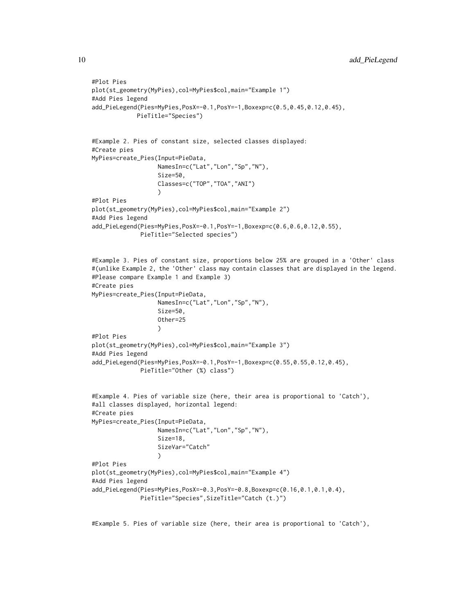```
#Plot Pies
plot(st_geometry(MyPies),col=MyPies$col,main="Example 1")
#Add Pies legend
add_PieLegend(Pies=MyPies,PosX=-0.1,PosY=-1,Boxexp=c(0.5,0.45,0.12,0.45),
             PieTitle="Species")
#Example 2. Pies of constant size, selected classes displayed:
#Create pies
MyPies=create_Pies(Input=PieData,
                   NamesIn=c("Lat","Lon","Sp","N"),
                   Size=50,
                   Classes=c("TOP","TOA","ANI")
                   \lambda#Plot Pies
plot(st_geometry(MyPies),col=MyPies$col,main="Example 2")
#Add Pies legend
add_PieLegend(Pies=MyPies,PosX=-0.1,PosY=-1,Boxexp=c(0.6,0.6,0.12,0.55),
              PieTitle="Selected species")
#Example 3. Pies of constant size, proportions below 25% are grouped in a 'Other' class
#(unlike Example 2, the 'Other' class may contain classes that are displayed in the legend.
#Please compare Example 1 and Example 3)
#Create pies
MyPies=create_Pies(Input=PieData,
                   NamesIn=c("Lat","Lon","Sp","N"),
                   Size=50,
                   Other=25
                   \lambda#Plot Pies
plot(st_geometry(MyPies),col=MyPies$col,main="Example 3")
#Add Pies legend
add_PieLegend(Pies=MyPies,PosX=-0.1,PosY=-1,Boxexp=c(0.55,0.55,0.12,0.45),
              PieTitle="Other (%) class")
#Example 4. Pies of variable size (here, their area is proportional to 'Catch'),
#all classes displayed, horizontal legend:
#Create pies
MyPies=create_Pies(Input=PieData,
                   NamesIn=c("Lat","Lon","Sp","N"),
                   Size=18,
                   SizeVar="Catch"
                   )
#Plot Pies
plot(st_geometry(MyPies),col=MyPies$col,main="Example 4")
#Add Pies legend
add_PieLegend(Pies=MyPies,PosX=-0.3,PosY=-0.8,Boxexp=c(0.16,0.1,0.1,0.4),
              PieTitle="Species",SizeTitle="Catch (t.)")
```
#Example 5. Pies of variable size (here, their area is proportional to 'Catch'),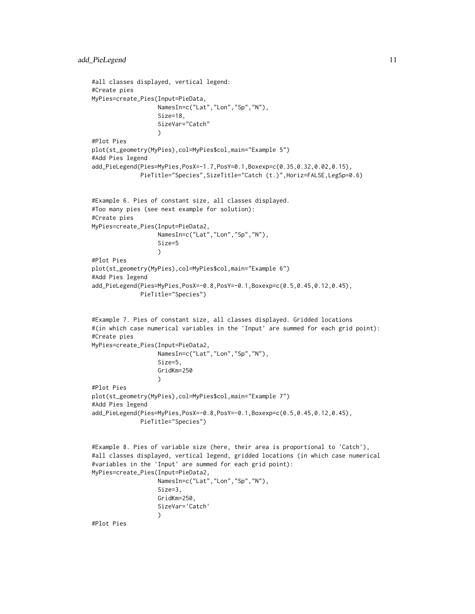```
#all classes displayed, vertical legend:
#Create pies
MyPies=create_Pies(Input=PieData,
                   NamesIn=c("Lat","Lon","Sp","N"),
                   Size=18,
                   SizeVar="Catch"
                   )
#Plot Pies
plot(st_geometry(MyPies),col=MyPies$col,main="Example 5")
#Add Pies legend
add_PieLegend(Pies=MyPies,PosX=-1.7,PosY=0.1,Boxexp=c(0.35,0.32,0.02,0.15),
              PieTitle="Species",SizeTitle="Catch (t.)",Horiz=FALSE,LegSp=0.6)
#Example 6. Pies of constant size, all classes displayed.
#Too many pies (see next example for solution):
#Create pies
MyPies=create_Pies(Input=PieData2,
                   NamesIn=c("Lat","Lon","Sp","N"),
                   Size=5
                   )
#Plot Pies
plot(st_geometry(MyPies),col=MyPies$col,main="Example 6")
#Add Pies legend
add_PieLegend(Pies=MyPies,PosX=-0.8,PosY=-0.1,Boxexp=c(0.5,0.45,0.12,0.45),
              PieTitle="Species")
#Example 7. Pies of constant size, all classes displayed. Gridded locations
#(in which case numerical variables in the 'Input' are summed for each grid point):
#Create pies
MyPies=create_Pies(Input=PieData2,
                   NamesIn=c("Lat","Lon","Sp","N"),
                   Size=5,
                   GridKm=250
                   )
#Plot Pies
plot(st_geometry(MyPies),col=MyPies$col,main="Example 7")
#Add Pies legend
add_PieLegend(Pies=MyPies,PosX=-0.8,PosY=-0.1,Boxexp=c(0.5,0.45,0.12,0.45),
              PieTitle="Species")
#Example 8. Pies of variable size (here, their area is proportional to 'Catch'),
#all classes displayed, vertical legend, gridded locations (in which case numerical
#variables in the 'Input' are summed for each grid point):
MyPies=create_Pies(Input=PieData2,
                   NamesIn=c("Lat","Lon","Sp","N"),
                   Size=3,
                   GridKm=250,
                   SizeVar='Catch'
                   )
#Plot Pies
```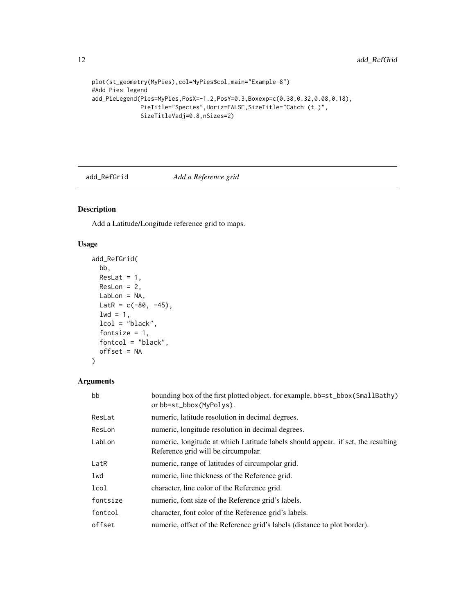```
plot(st_geometry(MyPies),col=MyPies$col,main="Example 8")
#Add Pies legend
add_PieLegend(Pies=MyPies,PosX=-1.2,PosY=0.3,Boxexp=c(0.38,0.32,0.08,0.18),
             PieTitle="Species",Horiz=FALSE,SizeTitle="Catch (t.)",
             SizeTitleVadj=0.8,nSizes=2)
```
<span id="page-11-1"></span>

### add\_RefGrid *Add a Reference grid*

### Description

Add a Latitude/Longitude reference grid to maps.

### Usage

```
add_RefGrid(
 bb,
 ResLat = 1,
 ResLon = 2,
 LabLon = NA,
 LatR = c(-80, -45),
 1wd = 1,
 lcol = "black",
  fontsize = 1,
 fontcol = "black",
 offset = NA
)
```
### Arguments

| bb       | bounding box of the first plotted object. for example, bb=st_bbox(SmallBathy)<br>or bb=st_bbox(MyPolys).                |
|----------|-------------------------------------------------------------------------------------------------------------------------|
| ResLat   | numeric, latitude resolution in decimal degrees.                                                                        |
| ResLon   | numeric, longitude resolution in decimal degrees.                                                                       |
| LabLon   | numeric, longitude at which Latitude labels should appear. if set, the resulting<br>Reference grid will be circumpolar. |
| LatR     | numeric, range of latitudes of circumpolar grid.                                                                        |
| lwd      | numeric, line thickness of the Reference grid.                                                                          |
| lcol     | character, line color of the Reference grid.                                                                            |
| fontsize | numeric, font size of the Reference grid's labels.                                                                      |
| fontcol  | character, font color of the Reference grid's labels.                                                                   |
| offset   | numeric, offset of the Reference grid's labels (distance to plot border).                                               |

<span id="page-11-0"></span>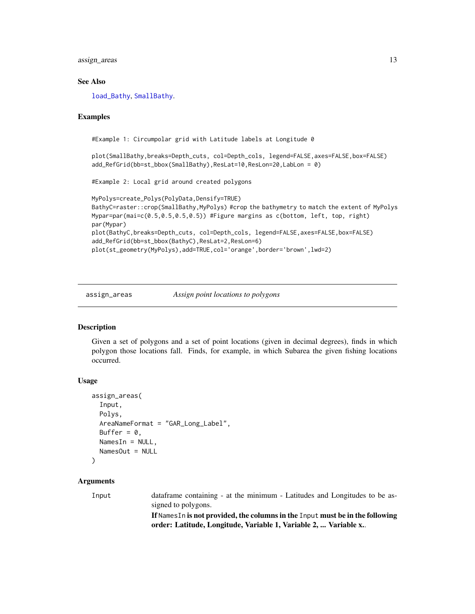<span id="page-12-0"></span>assign\_areas 13

#### See Also

[load\\_Bathy](#page-37-1), [SmallBathy](#page-49-1).

#### Examples

#Example 1: Circumpolar grid with Latitude labels at Longitude 0

plot(SmallBathy,breaks=Depth\_cuts, col=Depth\_cols, legend=FALSE,axes=FALSE,box=FALSE) add\_RefGrid(bb=st\_bbox(SmallBathy),ResLat=10,ResLon=20,LabLon = 0)

#Example 2: Local grid around created polygons

```
MyPolys=create_Polys(PolyData,Densify=TRUE)
BathyC=raster::crop(SmallBathy,MyPolys) #crop the bathymetry to match the extent of MyPolys
Mypar=par(mai=c(0.5,0.5,0.5,0.5)) #Figure margins as c(bottom, left, top, right)
par(Mypar)
plot(BathyC,breaks=Depth_cuts, col=Depth_cols, legend=FALSE,axes=FALSE,box=FALSE)
add_RefGrid(bb=st_bbox(BathyC),ResLat=2,ResLon=6)
plot(st_geometry(MyPolys),add=TRUE,col='orange',border='brown',lwd=2)
```
<span id="page-12-1"></span>

assign\_areas *Assign point locations to polygons*

#### Description

Given a set of polygons and a set of point locations (given in decimal degrees), finds in which polygon those locations fall. Finds, for example, in which Subarea the given fishing locations occurred.

#### Usage

```
assign_areas(
  Input,
 Polys,
 AreaNameFormat = "GAR_Long_Label",
 Buffer = 0,
 NamesIn = NULL,NamesOut = NULL
)
```
### Arguments

Input dataframe containing - at the minimum - Latitudes and Longitudes to be assigned to polygons. If NamesIn is not provided, the columns in the Input must be in the following order: Latitude, Longitude, Variable 1, Variable 2, ... Variable x..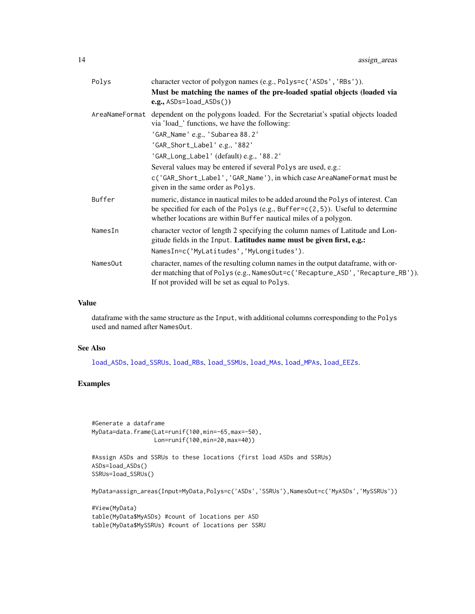<span id="page-13-0"></span>

| Polys          | character vector of polygon names (e.g., Polys=c('ASDs', 'RBs')).                                                                                                                                                                          |
|----------------|--------------------------------------------------------------------------------------------------------------------------------------------------------------------------------------------------------------------------------------------|
|                | Must be matching the names of the pre-loaded spatial objects (loaded via<br>$e.g.,$ ASDs=load_ASDs())                                                                                                                                      |
| AreaNameFormat | dependent on the polygons loaded. For the Secretariat's spatial objects loaded<br>via 'load_' functions, we have the following:                                                                                                            |
|                | 'GAR_Name' e.g., 'Subarea 88.2'                                                                                                                                                                                                            |
|                | 'GAR_Short_Label'e.g., '882'                                                                                                                                                                                                               |
|                | 'GAR_Long_Label' (default) e.g., '88.2'                                                                                                                                                                                                    |
|                | Several values may be entered if several Polys are used, e.g.:                                                                                                                                                                             |
|                | c('GAR_Short_Label', 'GAR_Name'), in which case AreaNameFormat must be<br>given in the same order as Polys.                                                                                                                                |
| Buffer         | numeric, distance in nautical miles to be added around the Polys of interest. Can<br>be specified for each of the Polys (e.g., Buffer= $c(2,5)$ ). Useful to determine<br>whether locations are within Buffer nautical miles of a polygon. |
| NamesIn        | character vector of length 2 specifying the column names of Latitude and Lon-<br>gitude fields in the Input. Latitudes name must be given first, e.g.:                                                                                     |
|                | NamesIn=c('MyLatitudes','MyLongitudes').                                                                                                                                                                                                   |
| NamesOut       | character, names of the resulting column names in the output dataframe, with or-<br>der matching that of Polys (e.g., NamesOut=c('Recapture_ASD', 'Recapture_RB')).<br>If not provided will be set as equal to Polys.                      |

### Value

dataframe with the same structure as the Input, with additional columns corresponding to the Polys used and named after NamesOut.

#### See Also

[load\\_ASDs](#page-36-1), [load\\_SSRUs](#page-43-1), [load\\_RBs](#page-41-1), [load\\_SSMUs](#page-42-1), [load\\_MAs](#page-40-1), [load\\_MPAs](#page-41-2), [load\\_EEZs](#page-39-1).

## Examples

```
#Generate a dataframe
MyData=data.frame(Lat=runif(100,min=-65,max=-50),
                 Lon=runif(100,min=20,max=40))
```

```
#Assign ASDs and SSRUs to these locations (first load ASDs and SSRUs)
ASDs=load_ASDs()
SSRUs=load_SSRUs()
```
MyData=assign\_areas(Input=MyData,Polys=c('ASDs','SSRUs'),NamesOut=c('MyASDs','MySSRUs'))

```
#View(MyData)
table(MyData$MyASDs) #count of locations per ASD
table(MyData$MySSRUs) #count of locations per SSRU
```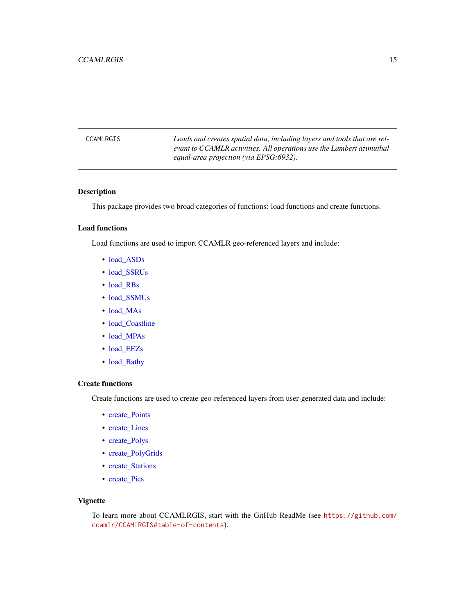<span id="page-14-0"></span>CCAMLRGIS *Loads and creates spatial data, including layers and tools that are relevant to CCAMLR activities. All operations use the Lambert azimuthal equal-area projection (via EPSG:6932).*

### Description

This package provides two broad categories of functions: load functions and create functions.

### Load functions

Load functions are used to import CCAMLR geo-referenced layers and include:

- [load\\_ASDs](#page-36-1)
- [load\\_SSRUs](#page-43-1)
- [load\\_RBs](#page-41-1)
- [load\\_SSMUs](#page-42-1)
- [load\\_MAs](#page-40-1)
- [load\\_Coastline](#page-38-1)
- [load\\_MPAs](#page-41-2)
- [load\\_EEZs](#page-39-1)
- [load\\_Bathy](#page-37-1)

### Create functions

Create functions are used to create geo-referenced layers from user-generated data and include:

- create Points
- create Lines
- [create\\_Polys](#page-26-1)
- [create\\_PolyGrids](#page-24-1)
- create Stations
- [create\\_Pies](#page-19-1)

#### Vignette

To learn more about CCAMLRGIS, start with the GitHub ReadMe (see [https://github.com/](https://github.com/ccamlr/CCAMLRGIS#table-of-contents) [ccamlr/CCAMLRGIS#table-of-contents](https://github.com/ccamlr/CCAMLRGIS#table-of-contents)).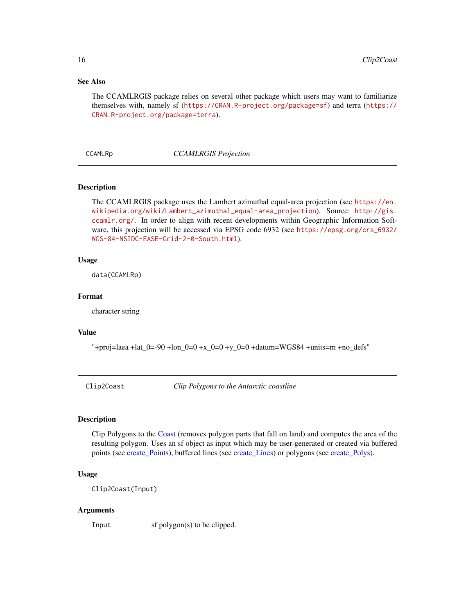### See Also

The CCAMLRGIS package relies on several other package which users may want to familiarize themselves with, namely sf (<https://CRAN.R-project.org/package=sf>) and terra ([https://](https://CRAN.R-project.org/package=terra) [CRAN.R-project.org/package=terra](https://CRAN.R-project.org/package=terra)).

### <span id="page-15-2"></span>CCAMLRp *CCAMLRGIS Projection*

### **Description**

The CCAMLRGIS package uses the Lambert azimuthal equal-area projection (see [https://en.](https://en.wikipedia.org/wiki/Lambert_azimuthal_equal-area_projection) [wikipedia.org/wiki/Lambert\\_azimuthal\\_equal-area\\_projection](https://en.wikipedia.org/wiki/Lambert_azimuthal_equal-area_projection)). Source: [http://gis.](http://gis.ccamlr.org/) [ccamlr.org/](http://gis.ccamlr.org/). In order to align with recent developments within Geographic Information Software, this projection will be accessed via EPSG code 6932 (see [https://epsg.org/crs\\_6932/](https://epsg.org/crs_6932/WGS-84-NSIDC-EASE-Grid-2-0-South.html) [WGS-84-NSIDC-EASE-Grid-2-0-South.html](https://epsg.org/crs_6932/WGS-84-NSIDC-EASE-Grid-2-0-South.html)).

#### Usage

data(CCAMLRp)

#### Format

character string

### Value

"+proj=laea +lat\_0=-90 +lon\_0=0 +x\_0=0 +y\_0=0 +datum=WGS84 +units=m +no\_defs"

<span id="page-15-1"></span>Clip2Coast *Clip Polygons to the Antarctic coastline*

#### Description

Clip Polygons to the [Coast](#page-16-1) (removes polygon parts that fall on land) and computes the area of the resulting polygon. Uses an sf object as input which may be user-generated or created via buffered points (see [create\\_Points\)](#page-22-1), buffered lines (see [create\\_Lines\)](#page-17-1) or polygons (see [create\\_Polys\)](#page-26-1).

### Usage

Clip2Coast(Input)

#### Arguments

Input sf polygon(s) to be clipped.

<span id="page-15-0"></span>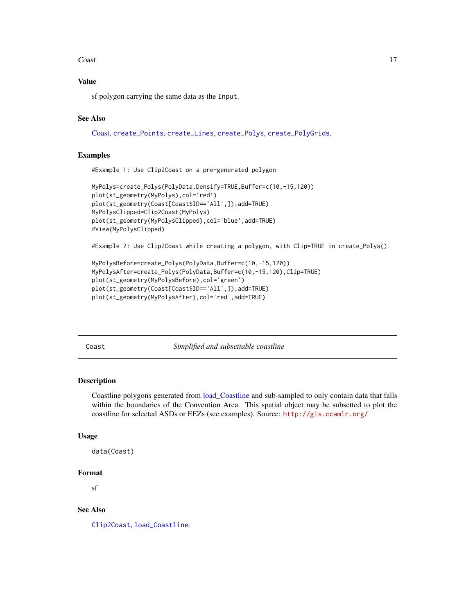#### <span id="page-16-0"></span>Coast 17

### Value

sf polygon carrying the same data as the Input.

### See Also

[Coast,](#page-16-1) [create\\_Points](#page-22-1), [create\\_Lines](#page-17-1), [create\\_Polys](#page-26-1), [create\\_PolyGrids](#page-24-1).

#### Examples

#Example 1: Use Clip2Coast on a pre-generated polygon

```
MyPolys=create_Polys(PolyData,Densify=TRUE,Buffer=c(10,-15,120))
plot(st_geometry(MyPolys),col='red')
plot(st_geometry(Coast[Coast$ID=='All',]),add=TRUE)
MyPolysClipped=Clip2Coast(MyPolys)
plot(st_geometry(MyPolysClipped),col='blue',add=TRUE)
#View(MyPolysClipped)
```
#Example 2: Use Clip2Coast while creating a polygon, with Clip=TRUE in create\_Polys().

```
MyPolysBefore=create_Polys(PolyData,Buffer=c(10,-15,120))
MyPolysAfter=create_Polys(PolyData,Buffer=c(10,-15,120),Clip=TRUE)
plot(st_geometry(MyPolysBefore),col='green')
plot(st_geometry(Coast[Coast$ID=='All',]),add=TRUE)
plot(st_geometry(MyPolysAfter),col='red',add=TRUE)
```
<span id="page-16-1"></span>Coast *Simplified and subsettable coastline*

#### **Description**

Coastline polygons generated from [load\\_Coastline](#page-38-1) and sub-sampled to only contain data that falls within the boundaries of the Convention Area. This spatial object may be subsetted to plot the coastline for selected ASDs or EEZs (see examples). Source: <http://gis.ccamlr.org/>

#### Usage

```
data(Coast)
```
### Format

sf

### See Also

[Clip2Coast](#page-15-1), [load\\_Coastline](#page-38-1).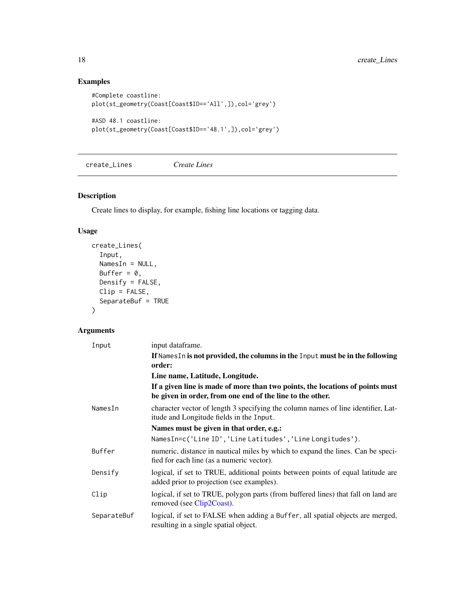### Examples

```
#Complete coastline:
plot(st_geometry(Coast[Coast$ID=='All',]),col='grey')
#ASD 48.1 coastline:
```

```
plot(st_geometry(Coast[Coast$ID=='48.1',]),col='grey')
```
<span id="page-17-1"></span>create\_Lines *Create Lines*

### Description

Create lines to display, for example, fishing line locations or tagging data.

### Usage

```
create_Lines(
  Input,
  NamesIn = NULL,
  Buffer = 0,
  Densify = FALSE,
  Clip = FALSE,
  SeparateBuf = TRUE
\mathcal{L}
```
### Arguments

| Input       | input dataframe.                                                                                                                           |
|-------------|--------------------------------------------------------------------------------------------------------------------------------------------|
|             | If Names In is not provided, the columns in the Input must be in the following<br>order:                                                   |
|             | Line name, Latitude, Longitude.                                                                                                            |
|             | If a given line is made of more than two points, the locations of points must<br>be given in order, from one end of the line to the other. |
| NamesIn     | character vector of length 3 specifying the column names of line identifier, Lat-<br>itude and Longitude fields in the Input.              |
|             | Names must be given in that order, e.g.:                                                                                                   |
|             | NamesIn=c('Line ID','Line Latitudes','Line Longitudes').                                                                                   |
| Buffer      | numeric, distance in nautical miles by which to expand the lines. Can be speci--<br>fied for each line (as a numeric vector).              |
| Densify     | logical, if set to TRUE, additional points between points of equal latitude are<br>added prior to projection (see examples).               |
| Clip        | logical, if set to TRUE, polygon parts (from buffered lines) that fall on land are<br>removed (see Clip2Coast).                            |
| SeparateBuf | logical, if set to FALSE when adding a Buffer, all spatial objects are merged,<br>resulting in a single spatial object.                    |

<span id="page-17-0"></span>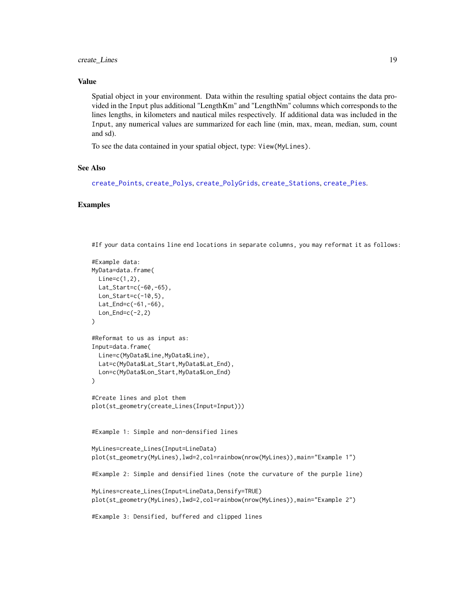### <span id="page-18-0"></span>create\_Lines 19

### Value

Spatial object in your environment. Data within the resulting spatial object contains the data provided in the Input plus additional "LengthKm" and "LengthNm" columns which corresponds to the lines lengths, in kilometers and nautical miles respectively. If additional data was included in the Input, any numerical values are summarized for each line (min, max, mean, median, sum, count and sd).

To see the data contained in your spatial object, type: View(MyLines).

#### See Also

```
create_Points, create_Polys, create_PolyGrids, create_Stations, create_Pies.
```
### Examples

#If your data contains line end locations in separate columns, you may reformat it as follows:

```
#Example data:
MyData=data.frame(
 Line=c(1,2),
 Lat_Start=c(-60,-65),
 Lon_Start=c(-10,5),
  Lat_F = c(-61, -66),
  Lon\_End=c(-2,2)\lambda#Reformat to us as input as:
Input=data.frame(
  Line=c(MyData$Line,MyData$Line),
  Lat=c(MyData$Lat_Start,MyData$Lat_End),
  Lon=c(MyData$Lon_Start,MyData$Lon_End)
)
#Create lines and plot them
plot(st_geometry(create_Lines(Input=Input)))
#Example 1: Simple and non-densified lines
MyLines=create_Lines(Input=LineData)
plot(st_geometry(MyLines),lwd=2,col=rainbow(nrow(MyLines)),main="Example 1")
#Example 2: Simple and densified lines (note the curvature of the purple line)
MyLines=create_Lines(Input=LineData,Densify=TRUE)
plot(st_geometry(MyLines),lwd=2,col=rainbow(nrow(MyLines)),main="Example 2")
#Example 3: Densified, buffered and clipped lines
```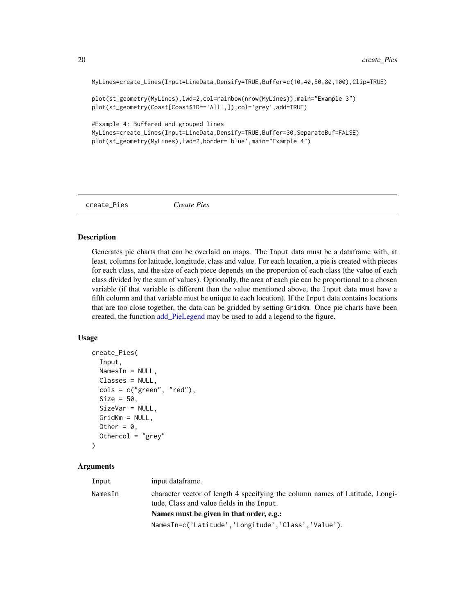MyLines=create\_Lines(Input=LineData,Densify=TRUE,Buffer=c(10,40,50,80,100),Clip=TRUE)

plot(st\_geometry(MyLines),lwd=2,col=rainbow(nrow(MyLines)),main="Example 3") plot(st\_geometry(Coast[Coast\$ID=='All',]),col='grey',add=TRUE)

#Example 4: Buffered and grouped lines MyLines=create\_Lines(Input=LineData,Densify=TRUE,Buffer=30,SeparateBuf=FALSE) plot(st\_geometry(MyLines),lwd=2,border='blue',main="Example 4")

<span id="page-19-1"></span>create\_Pies *Create Pies*

### Description

Generates pie charts that can be overlaid on maps. The Input data must be a dataframe with, at least, columns for latitude, longitude, class and value. For each location, a pie is created with pieces for each class, and the size of each piece depends on the proportion of each class (the value of each class divided by the sum of values). Optionally, the area of each pie can be proportional to a chosen variable (if that variable is different than the value mentioned above, the Input data must have a fifth column and that variable must be unique to each location). If the Input data contains locations that are too close together, the data can be gridded by setting GridKm. Once pie charts have been created, the function add PieLegend may be used to add a legend to the figure.

#### Usage

```
create_Pies(
  Input,
  NamesIn = NULL,
  Classes = NULL,
  \text{cols} = \text{c("green", "red"),}Size = 50,
  SizeVar = NULL,
  GridKm = NULL,
  Other = \theta,
  Othercol = "grey"
)
```
#### Arguments

| Input   | input dataframe.                                                                                                           |
|---------|----------------------------------------------------------------------------------------------------------------------------|
| NamesIn | character vector of length 4 specifying the column names of Latitude, Longi-<br>tude, Class and value fields in the Input. |
|         | Names must be given in that order, e.g.:                                                                                   |
|         | NamesIn=c('Latitude','Longitude','Class','Value').                                                                         |

<span id="page-19-0"></span>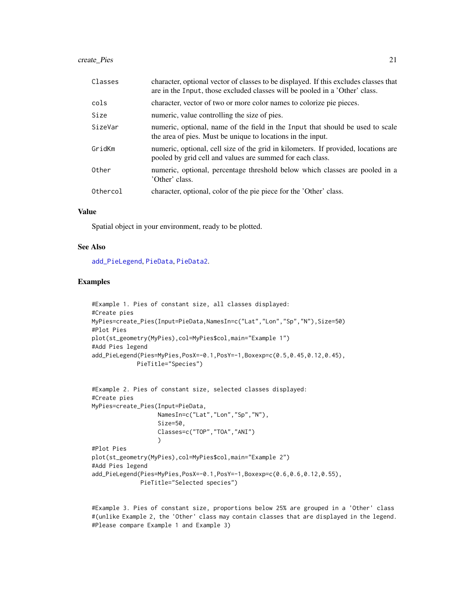### <span id="page-20-0"></span>create\_Pies 21

| Classes  | character, optional vector of classes to be displayed. If this excludes classes that<br>are in the Input, those excluded classes will be pooled in a 'Other' class. |
|----------|---------------------------------------------------------------------------------------------------------------------------------------------------------------------|
| cols     | character, vector of two or more color names to colorize pie pieces.                                                                                                |
| Size     | numeric, value controlling the size of pies.                                                                                                                        |
| SizeVar  | numeric, optional, name of the field in the Input that should be used to scale<br>the area of pies. Must be unique to locations in the input.                       |
| GridKm   | numeric, optional, cell size of the grid in kilometers. If provided, locations are<br>pooled by grid cell and values are summed for each class.                     |
| Other    | numeric, optional, percentage threshold below which classes are pooled in a<br>'Other' class.                                                                       |
| Othercol | character, optional, color of the pie piece for the 'Other' class.                                                                                                  |

#### Value

Spatial object in your environment, ready to be plotted.

#### See Also

[add\\_PieLegend](#page-7-1), [PieData](#page-44-1), [PieData2](#page-45-1).

#### Examples

```
#Example 1. Pies of constant size, all classes displayed:
#Create pies
MyPies=create_Pies(Input=PieData,NamesIn=c("Lat","Lon","Sp","N"),Size=50)
#Plot Pies
plot(st_geometry(MyPies),col=MyPies$col,main="Example 1")
#Add Pies legend
add_PieLegend(Pies=MyPies,PosX=-0.1,PosY=-1,Boxexp=c(0.5,0.45,0.12,0.45),
             PieTitle="Species")
```

```
#Example 2. Pies of constant size, selected classes displayed:
#Create pies
MyPies=create_Pies(Input=PieData,
                   NamesIn=c("Lat","Lon","Sp","N"),
                   Size=50,
                   Classes=c("TOP","TOA","ANI")
                   )
#Plot Pies
plot(st_geometry(MyPies),col=MyPies$col,main="Example 2")
#Add Pies legend
add_PieLegend(Pies=MyPies,PosX=-0.1,PosY=-1,Boxexp=c(0.6,0.6,0.12,0.55),
              PieTitle="Selected species")
```
#Example 3. Pies of constant size, proportions below 25% are grouped in a 'Other' class #(unlike Example 2, the 'Other' class may contain classes that are displayed in the legend. #Please compare Example 1 and Example 3)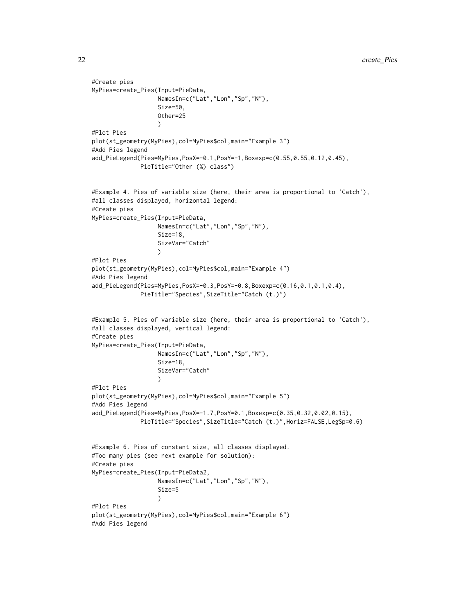```
#Create pies
MyPies=create_Pies(Input=PieData,
                   NamesIn=c("Lat","Lon","Sp","N"),
                   Size=50,
                   Other=25
                   \lambda#Plot Pies
plot(st_geometry(MyPies),col=MyPies$col,main="Example 3")
#Add Pies legend
add_PieLegend(Pies=MyPies,PosX=-0.1,PosY=-1,Boxexp=c(0.55,0.55,0.12,0.45),
              PieTitle="Other (%) class")
#Example 4. Pies of variable size (here, their area is proportional to 'Catch'),
#all classes displayed, horizontal legend:
#Create pies
MyPies=create_Pies(Input=PieData,
                   NamesIn=c("Lat","Lon","Sp","N"),
                   Size=18,
                   SizeVar="Catch"
                   )
#Plot Pies
plot(st_geometry(MyPies),col=MyPies$col,main="Example 4")
#Add Pies legend
add_PieLegend(Pies=MyPies,PosX=-0.3,PosY=-0.8,Boxexp=c(0.16,0.1,0.1,0.4),
              PieTitle="Species",SizeTitle="Catch (t.)")
#Example 5. Pies of variable size (here, their area is proportional to 'Catch'),
#all classes displayed, vertical legend:
#Create pies
MyPies=create_Pies(Input=PieData,
                   NamesIn=c("Lat","Lon","Sp","N"),
                   Size=18,
                   SizeVar="Catch"
                   )
#Plot Pies
plot(st_geometry(MyPies),col=MyPies$col,main="Example 5")
#Add Pies legend
add_PieLegend(Pies=MyPies,PosX=-1.7,PosY=0.1,Boxexp=c(0.35,0.32,0.02,0.15),
              PieTitle="Species",SizeTitle="Catch (t.)",Horiz=FALSE,LegSp=0.6)
#Example 6. Pies of constant size, all classes displayed.
#Too many pies (see next example for solution):
#Create pies
MyPies=create_Pies(Input=PieData2,
                   NamesIn=c("Lat","Lon","Sp","N"),
                   Size=5
                   )
#Plot Pies
plot(st_geometry(MyPies),col=MyPies$col,main="Example 6")
#Add Pies legend
```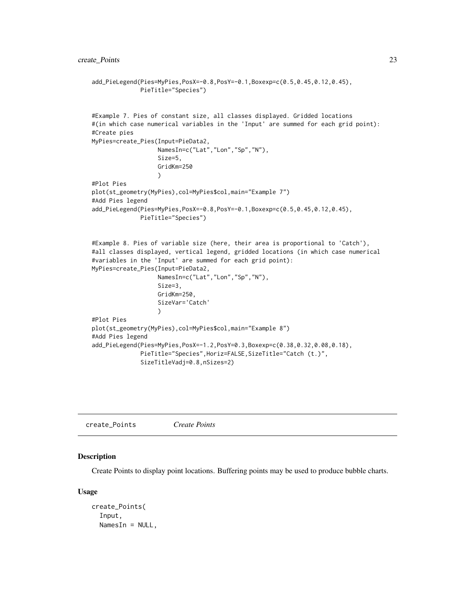```
add_PieLegend(Pies=MyPies,PosX=-0.8,PosY=-0.1,Boxexp=c(0.5,0.45,0.12,0.45),
              PieTitle="Species")
#Example 7. Pies of constant size, all classes displayed. Gridded locations
#(in which case numerical variables in the 'Input' are summed for each grid point):
#Create pies
MyPies=create_Pies(Input=PieData2,
                   NamesIn=c("Lat","Lon","Sp","N"),
                   Size=5,
                   GridKm=250
                   )
#Plot Pies
plot(st_geometry(MyPies),col=MyPies$col,main="Example 7")
#Add Pies legend
add_PieLegend(Pies=MyPies,PosX=-0.8,PosY=-0.1,Boxexp=c(0.5,0.45,0.12,0.45),
             PieTitle="Species")
#Example 8. Pies of variable size (here, their area is proportional to 'Catch'),
#all classes displayed, vertical legend, gridded locations (in which case numerical
#variables in the 'Input' are summed for each grid point):
MyPies=create_Pies(Input=PieData2,
                   NamesIn=c("Lat","Lon","Sp","N"),
                   Size=3,
                   GridKm=250,
                   SizeVar='Catch'
                   )
#Plot Pies
plot(st_geometry(MyPies),col=MyPies$col,main="Example 8")
#Add Pies legend
add_PieLegend(Pies=MyPies,PosX=-1.2,PosY=0.3,Boxexp=c(0.38,0.32,0.08,0.18),
             PieTitle="Species",Horiz=FALSE,SizeTitle="Catch (t.)",
              SizeTitleVadj=0.8,nSizes=2)
```
<span id="page-22-1"></span>create\_Points *Create Points*

#### Description

Create Points to display point locations. Buffering points may be used to produce bubble charts.

#### Usage

```
create_Points(
  Input,
 NamesIn = NULL,
```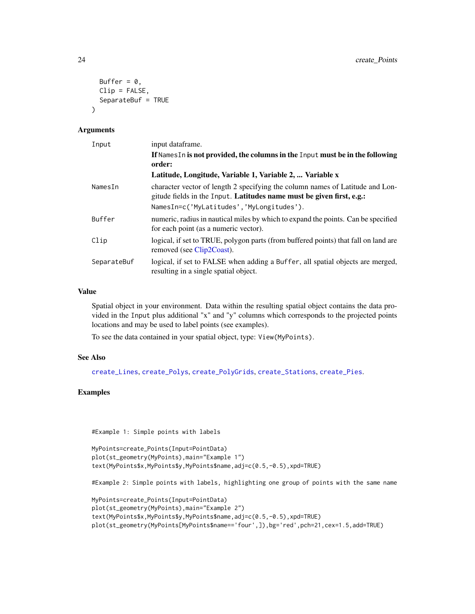```
Buffer = 0,
  Clip = FALSE,
  SeparateBuf = TRUE
\lambda
```
#### Arguments

| Input       | input dataframe.                                                                                                                                       |
|-------------|--------------------------------------------------------------------------------------------------------------------------------------------------------|
|             | If Names In is not provided, the columns in the Input must be in the following<br>order:                                                               |
|             | Latitude, Longitude, Variable 1, Variable 2,  Variable x                                                                                               |
| NamesIn     | character vector of length 2 specifying the column names of Latitude and Lon-<br>gitude fields in the Input. Latitudes name must be given first, e.g.: |
|             | NamesIn=c('MyLatitudes','MyLongitudes').                                                                                                               |
| Buffer      | numeric, radius in nautical miles by which to expand the points. Can be specified<br>for each point (as a numeric vector).                             |
| Clip        | logical, if set to TRUE, polygon parts (from buffered points) that fall on land are<br>removed (see Clip2Coast).                                       |
| SeparateBuf | logical, if set to FALSE when adding a Buffer, all spatial objects are merged,<br>resulting in a single spatial object.                                |

### Value

Spatial object in your environment. Data within the resulting spatial object contains the data provided in the Input plus additional "x" and "y" columns which corresponds to the projected points locations and may be used to label points (see examples).

To see the data contained in your spatial object, type: View(MyPoints).

### See Also

[create\\_Lines](#page-17-1), [create\\_Polys](#page-26-1), [create\\_PolyGrids](#page-24-1), [create\\_Stations](#page-28-1), [create\\_Pies](#page-19-1).

### Examples

#Example 1: Simple points with labels

```
MyPoints=create_Points(Input=PointData)
plot(st_geometry(MyPoints),main="Example 1")
text(MyPoints$x,MyPoints$y,MyPoints$name,adj=c(0.5,-0.5),xpd=TRUE)
```
#Example 2: Simple points with labels, highlighting one group of points with the same name

```
MyPoints=create_Points(Input=PointData)
plot(st_geometry(MyPoints),main="Example 2")
text(MyPoints$x,MyPoints$y,MyPoints$name,adj=c(0.5,-0.5),xpd=TRUE)
plot(st_geometry(MyPoints[MyPoints$name=='four',]),bg='red',pch=21,cex=1.5,add=TRUE)
```
<span id="page-23-0"></span>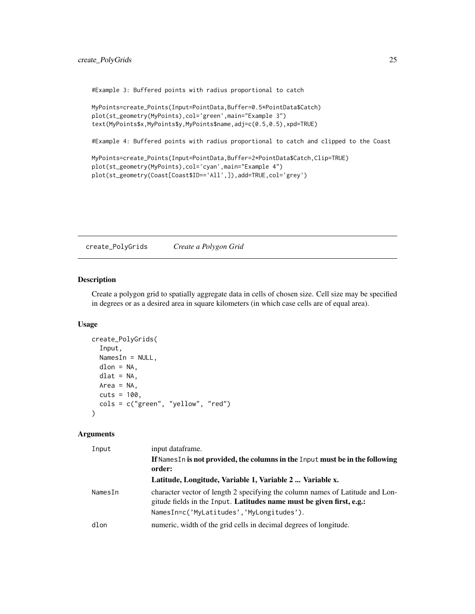### <span id="page-24-0"></span>create\_PolyGrids 25

#Example 3: Buffered points with radius proportional to catch

```
MyPoints=create_Points(Input=PointData,Buffer=0.5*PointData$Catch)
plot(st_geometry(MyPoints),col='green',main="Example 3")
text(MyPoints$x,MyPoints$y,MyPoints$name,adj=c(0.5,0.5),xpd=TRUE)
```
#Example 4: Buffered points with radius proportional to catch and clipped to the Coast

```
MyPoints=create_Points(Input=PointData,Buffer=2*PointData$Catch,Clip=TRUE)
plot(st_geometry(MyPoints),col='cyan',main="Example 4")
plot(st_geometry(Coast[Coast$ID=='All',]),add=TRUE,col='grey')
```
<span id="page-24-1"></span>create\_PolyGrids *Create a Polygon Grid*

#### Description

Create a polygon grid to spatially aggregate data in cells of chosen size. Cell size may be specified in degrees or as a desired area in square kilometers (in which case cells are of equal area).

### Usage

```
create_PolyGrids(
  Input,
 NamesIn = NULL,
 dlon = NA,
 dlat = NA,
 Area = NA,
 cuts = 100,
 cols = c("green", "yellow", "red")
)
```
### Arguments

| Input   | input dataframe.                                                                                                                                       |
|---------|--------------------------------------------------------------------------------------------------------------------------------------------------------|
|         | If Names In is not provided, the columns in the Input must be in the following<br>order:                                                               |
|         | Latitude, Longitude, Variable 1, Variable 2  Variable x.                                                                                               |
| NamesIn | character vector of length 2 specifying the column names of Latitude and Lon-<br>gitude fields in the Input. Latitudes name must be given first, e.g.: |
|         | NamesIn=c('MyLatitudes','MyLongitudes').                                                                                                               |
| dlon    | numeric, width of the grid cells in decimal degrees of longitude.                                                                                      |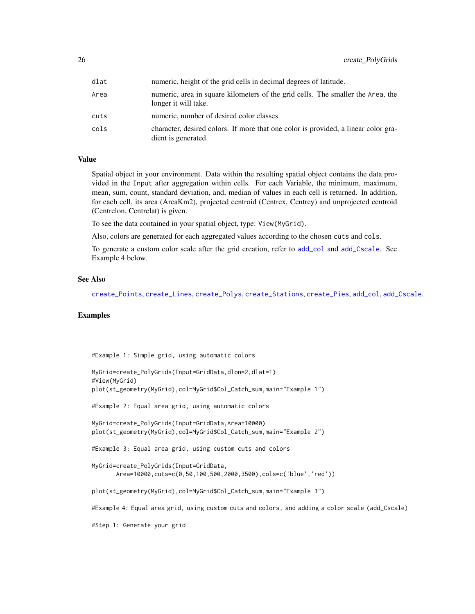<span id="page-25-0"></span>

| dlat | numeric, height of the grid cells in decimal degrees of latitude.                                         |
|------|-----------------------------------------------------------------------------------------------------------|
| Area | numeric, area in square kilometers of the grid cells. The smaller the Area, the<br>longer it will take.   |
| cuts | numeric, number of desired color classes.                                                                 |
| cols | character, desired colors. If more that one color is provided, a linear color gra-<br>dient is generated. |

#### Value

Spatial object in your environment. Data within the resulting spatial object contains the data provided in the Input after aggregation within cells. For each Variable, the minimum, maximum, mean, sum, count, standard deviation, and, median of values in each cell is returned. In addition, for each cell, its area (AreaKm2), projected centroid (Centrex, Centrey) and unprojected centroid (Centrelon, Centrelat) is given.

To see the data contained in your spatial object, type: View(MyGrid).

Also, colors are generated for each aggregated values according to the chosen cuts and cols.

To generate a custom color scale after the grid creation, refer to [add\\_col](#page-2-1) and [add\\_Cscale](#page-3-1). See Example 4 below.

#### See Also

```
create_Points, create_Lines, create_Polys, create_Stations, create_Pies, add_col, add_Cscale.
```
### Examples

#Example 1: Simple grid, using automatic colors

```
MyGrid=create_PolyGrids(Input=GridData,dlon=2,dlat=1)
#View(MyGrid)
plot(st_geometry(MyGrid),col=MyGrid$Col_Catch_sum,main="Example 1")
#Example 2: Equal area grid, using automatic colors
MyGrid=create_PolyGrids(Input=GridData,Area=10000)
plot(st_geometry(MyGrid),col=MyGrid$Col_Catch_sum,main="Example 2")
#Example 3: Equal area grid, using custom cuts and colors
MyGrid=create_PolyGrids(Input=GridData,
      Area=10000,cuts=c(0,50,100,500,2000,3500),cols=c('blue','red'))
plot(st_geometry(MyGrid),col=MyGrid$Col_Catch_sum,main="Example 3")
#Example 4: Equal area grid, using custom cuts and colors, and adding a color scale (add_Cscale)
#Step 1: Generate your grid
```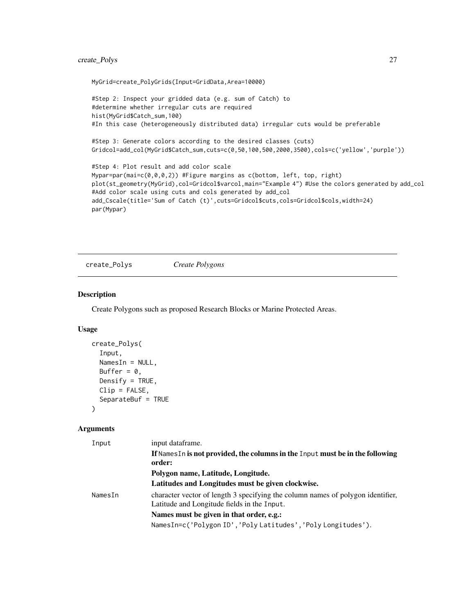### <span id="page-26-0"></span>create\_Polys 27

MyGrid=create\_PolyGrids(Input=GridData,Area=10000)

```
#Step 2: Inspect your gridded data (e.g. sum of Catch) to
#determine whether irregular cuts are required
hist(MyGrid$Catch_sum,100)
#In this case (heterogeneously distributed data) irregular cuts would be preferable
#Step 3: Generate colors according to the desired classes (cuts)
Gridcol=add_col(MyGrid$Catch_sum,cuts=c(0,50,100,500,2000,3500),cols=c('yellow','purple'))
#Step 4: Plot result and add color scale
Mypar=par(mai=c(0,0,0,2)) #Figure margins as c(bottom, left, top, right)
plot(st_geometry(MyGrid),col=Gridcol$varcol,main="Example 4") #Use the colors generated by add_col
#Add color scale using cuts and cols generated by add_col
add_Cscale(title='Sum of Catch (t)',cuts=Gridcol$cuts,cols=Gridcol$cols,width=24)
par(Mypar)
```
<span id="page-26-1"></span>create\_Polys *Create Polygons*

#### Description

Create Polygons such as proposed Research Blocks or Marine Protected Areas.

#### Usage

```
create_Polys(
  Input,
  NamesIn = NULL,
 Buffer = 0,
 Densify = TRUE,
  Clip = FALSE,
  SeparateBuf = TRUE
\lambda
```
#### Arguments

| Input   | input dataframe.                                                                |
|---------|---------------------------------------------------------------------------------|
|         | If Names In is not provided, the columns in the Input must be in the following  |
|         | order:                                                                          |
|         | Polygon name, Latitude, Longitude.                                              |
|         | Latitudes and Longitudes must be given clockwise.                               |
| NamesIn | character vector of length 3 specifying the column names of polygon identifier, |
|         | Latitude and Longitude fields in the Input.                                     |
|         | Names must be given in that order, e.g.:                                        |
|         | NamesIn=c('Polygon ID','Poly Latitudes','Poly Longitudes').                     |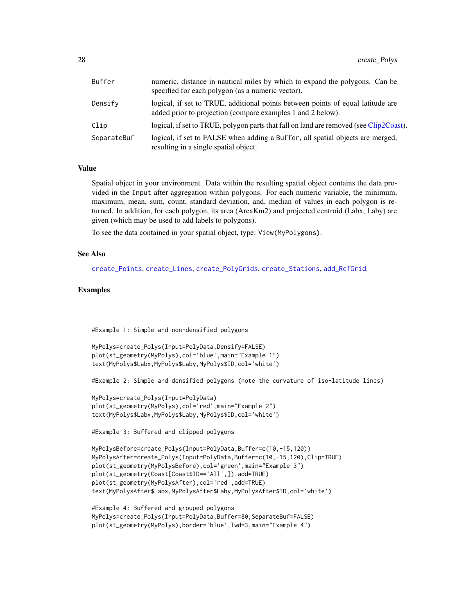<span id="page-27-0"></span>

| Buffer      | numeric, distance in nautical miles by which to expand the polygons. Can be<br>specified for each polygon (as a numeric vector).               |
|-------------|------------------------------------------------------------------------------------------------------------------------------------------------|
| Densify     | logical, if set to TRUE, additional points between points of equal latitude are<br>added prior to projection (compare examples 1 and 2 below). |
| Clip        | logical, if set to TRUE, polygon parts that fall on land are removed (see Clip2Coast).                                                         |
| SeparateBuf | logical, if set to FALSE when adding a Buffer, all spatial objects are merged,<br>resulting in a single spatial object.                        |

### Value

Spatial object in your environment. Data within the resulting spatial object contains the data provided in the Input after aggregation within polygons. For each numeric variable, the minimum, maximum, mean, sum, count, standard deviation, and, median of values in each polygon is returned. In addition, for each polygon, its area (AreaKm2) and projected centroid (Labx, Laby) are given (which may be used to add labels to polygons).

To see the data contained in your spatial object, type: View(MyPolygons).

### See Also

[create\\_Points](#page-22-1), [create\\_Lines](#page-17-1), [create\\_PolyGrids](#page-24-1), [create\\_Stations](#page-28-1), [add\\_RefGrid](#page-11-1).

#### Examples

#Example 1: Simple and non-densified polygons

```
MyPolys=create_Polys(Input=PolyData,Densify=FALSE)
plot(st_geometry(MyPolys),col='blue',main="Example 1")
text(MyPolys$Labx,MyPolys$Laby,MyPolys$ID,col='white')
```
#Example 2: Simple and densified polygons (note the curvature of iso-latitude lines)

```
MyPolys=create_Polys(Input=PolyData)
plot(st_geometry(MyPolys),col='red',main="Example 2")
text(MyPolys$Labx,MyPolys$Laby,MyPolys$ID,col='white')
```
#Example 3: Buffered and clipped polygons

```
MyPolysBefore=create_Polys(Input=PolyData,Buffer=c(10,-15,120))
MyPolysAfter=create_Polys(Input=PolyData,Buffer=c(10,-15,120),Clip=TRUE)
plot(st_geometry(MyPolysBefore),col='green',main="Example 3")
plot(st_geometry(Coast[Coast$ID=='All',]),add=TRUE)
plot(st_geometry(MyPolysAfter),col='red',add=TRUE)
text(MyPolysAfter$Labx,MyPolysAfter$Laby,MyPolysAfter$ID,col='white')
```

```
#Example 4: Buffered and grouped polygons
MyPolys=create_Polys(Input=PolyData,Buffer=80,SeparateBuf=FALSE)
plot(st_geometry(MyPolys),border='blue',lwd=3,main="Example 4")
```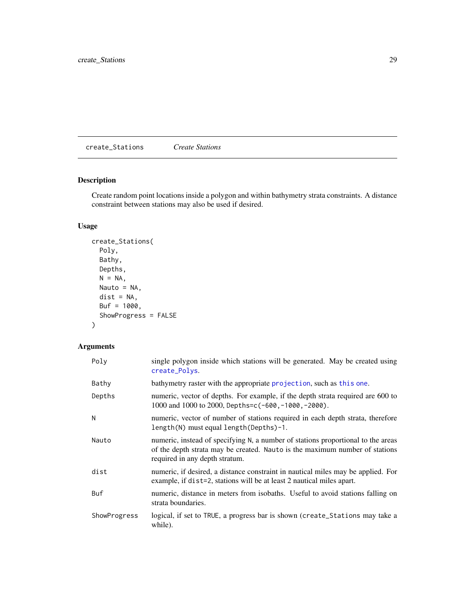<span id="page-28-1"></span><span id="page-28-0"></span>create\_Stations *Create Stations*

### Description

Create random point locations inside a polygon and within bathymetry strata constraints. A distance constraint between stations may also be used if desired.

### Usage

```
create_Stations(
 Poly,
 Bathy,
 Depths,
 N = NA,
 Nauto = NA,
 dist = NA,
 Buf = 1000,ShowProgress = FALSE
)
```
### Arguments

| Poly         | single polygon inside which stations will be generated. May be created using<br>create_Polys.                                                                                                     |
|--------------|---------------------------------------------------------------------------------------------------------------------------------------------------------------------------------------------------|
| Bathy        | bathymetry raster with the appropriate projection, such as this one.                                                                                                                              |
| Depths       | numeric, vector of depths. For example, if the depth strata required are 600 to<br>1000 and 1000 to 2000, Depths=c(-600,-1000,-2000).                                                             |
| N            | numeric, vector of number of stations required in each depth strata, therefore<br>length(N) must equal length(Depths)-1.                                                                          |
| Nauto        | numeric, instead of specifying N, a number of stations proportional to the areas<br>of the depth strata may be created. Nauto is the maximum number of stations<br>required in any depth stratum. |
| dist         | numeric, if desired, a distance constraint in nautical miles may be applied. For<br>example, if dist=2, stations will be at least 2 nautical miles apart.                                         |
| Buf          | numeric, distance in meters from isobaths. Useful to avoid stations falling on<br>strata boundaries.                                                                                              |
| ShowProgress | logical, if set to TRUE, a progress bar is shown (create_Stations may take a<br>while).                                                                                                           |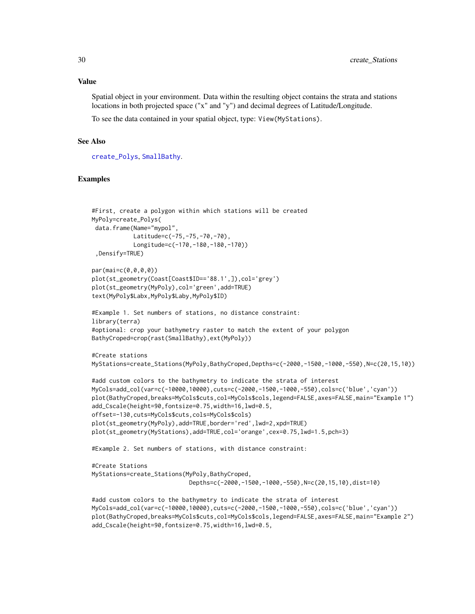<span id="page-29-0"></span>Spatial object in your environment. Data within the resulting object contains the strata and stations locations in both projected space ("x" and "y") and decimal degrees of Latitude/Longitude.

To see the data contained in your spatial object, type: View(MyStations).

#### See Also

[create\\_Polys](#page-26-1), [SmallBathy](#page-49-1).

#### Examples

```
#First, create a polygon within which stations will be created
MyPoly=create_Polys(
data.frame(Name="mypol",
            Latitude=c(-75,-75,-70,-70),
            Longitude=c(-170,-180,-180,-170))
 ,Densify=TRUE)
par(mai=c(0,0,0,0))
plot(st_geometry(Coast[Coast$ID=='88.1',]),col='grey')
plot(st_geometry(MyPoly),col='green',add=TRUE)
text(MyPoly$Labx,MyPoly$Laby,MyPoly$ID)
#Example 1. Set numbers of stations, no distance constraint:
library(terra)
#optional: crop your bathymetry raster to match the extent of your polygon
BathyCroped=crop(rast(SmallBathy),ext(MyPoly))
#Create stations
MyStations=create_Stations(MyPoly,BathyCroped,Depths=c(-2000,-1500,-1000,-550),N=c(20,15,10))
#add custom colors to the bathymetry to indicate the strata of interest
MyCols=add_col(var=c(-10000,10000),cuts=c(-2000,-1500,-1000,-550),cols=c('blue','cyan'))
plot(BathyCroped,breaks=MyCols$cuts,col=MyCols$cols,legend=FALSE,axes=FALSE,main="Example 1")
add_Cscale(height=90,fontsize=0.75,width=16,lwd=0.5,
offset=-130,cuts=MyCols$cuts,cols=MyCols$cols)
plot(st_geometry(MyPoly),add=TRUE,border='red',lwd=2,xpd=TRUE)
plot(st_geometry(MyStations),add=TRUE,col='orange',cex=0.75,lwd=1.5,pch=3)
#Example 2. Set numbers of stations, with distance constraint:
#Create Stations
MyStations=create_Stations(MyPoly,BathyCroped,
                            Depths=c(-2000,-1500,-1000,-550),N=c(20,15,10),dist=10)
#add custom colors to the bathymetry to indicate the strata of interest
MyCols=add_col(var=c(-10000,10000),cuts=c(-2000,-1500,-1000,-550),cols=c('blue','cyan'))
plot(BathyCroped,breaks=MyCols$cuts,col=MyCols$cols,legend=FALSE,axes=FALSE,main="Example 2")
add_Cscale(height=90,fontsize=0.75,width=16,lwd=0.5,
```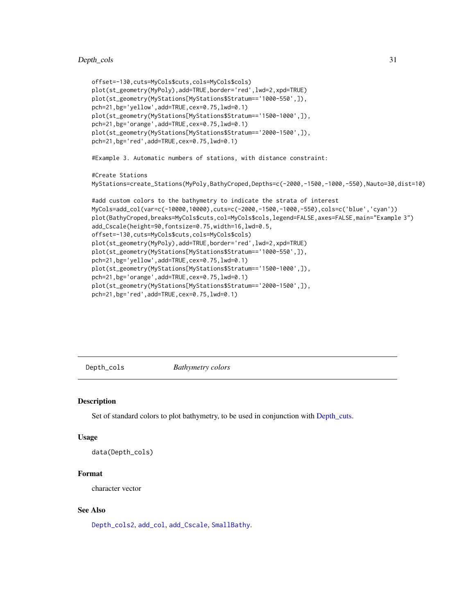### <span id="page-30-0"></span>Depth\_cols 31

```
offset=-130,cuts=MyCols$cuts,cols=MyCols$cols)
plot(st_geometry(MyPoly),add=TRUE,border='red',lwd=2,xpd=TRUE)
plot(st_geometry(MyStations[MyStations$Stratum=='1000-550',]),
pch=21,bg='yellow',add=TRUE,cex=0.75,lwd=0.1)
plot(st_geometry(MyStations[MyStations$Stratum=='1500-1000',]),
pch=21,bg='orange',add=TRUE,cex=0.75,lwd=0.1)
plot(st_geometry(MyStations[MyStations$Stratum=='2000-1500',]),
pch=21,bg='red',add=TRUE,cex=0.75,lwd=0.1)
#Example 3. Automatic numbers of stations, with distance constraint:
#Create Stations
MyStations=create_Stations(MyPoly,BathyCroped,Depths=c(-2000,-1500,-1000,-550),Nauto=30,dist=10)
#add custom colors to the bathymetry to indicate the strata of interest
MyCols=add_col(var=c(-10000,10000),cuts=c(-2000,-1500,-1000,-550),cols=c('blue','cyan'))
plot(BathyCroped,breaks=MyCols$cuts,col=MyCols$cols,legend=FALSE,axes=FALSE,main="Example 3")
add_Cscale(height=90,fontsize=0.75,width=16,lwd=0.5,
offset=-130,cuts=MyCols$cuts,cols=MyCols$cols)
plot(st_geometry(MyPoly),add=TRUE,border='red',lwd=2,xpd=TRUE)
plot(st_geometry(MyStations[MyStations$Stratum=='1000-550',]),
pch=21,bg='yellow',add=TRUE,cex=0.75,lwd=0.1)
plot(st_geometry(MyStations[MyStations$Stratum=='1500-1000',]),
pch=21,bg='orange',add=TRUE,cex=0.75,lwd=0.1)
plot(st_geometry(MyStations[MyStations$Stratum=='2000-1500',]),
pch=21,bg='red',add=TRUE,cex=0.75,lwd=0.1)
```
<span id="page-30-1"></span>Depth\_cols *Bathymetry colors*

#### Description

Set of standard colors to plot bathymetry, to be used in conjunction with [Depth\\_cuts.](#page-31-1)

#### Usage

```
data(Depth_cols)
```
### Format

character vector

#### See Also

[Depth\\_cols2](#page-31-2), [add\\_col](#page-2-1), [add\\_Cscale](#page-3-1), [SmallBathy](#page-49-1).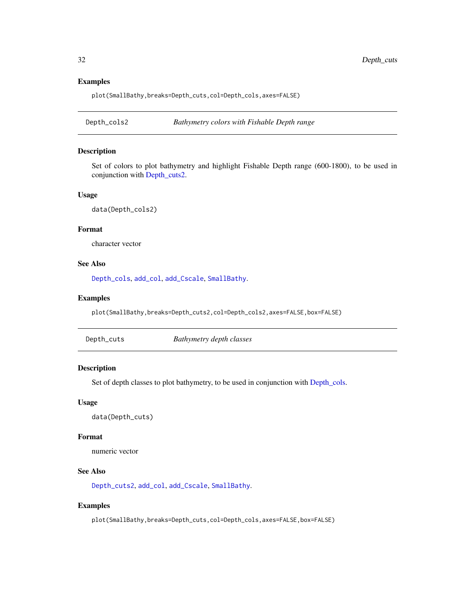### Examples

plot(SmallBathy,breaks=Depth\_cuts,col=Depth\_cols,axes=FALSE)

<span id="page-31-2"></span>Depth\_cols2 *Bathymetry colors with Fishable Depth range*

### Description

Set of colors to plot bathymetry and highlight Fishable Depth range (600-1800), to be used in conjunction with [Depth\\_cuts2.](#page-32-1)

### Usage

data(Depth\_cols2)

### Format

character vector

### See Also

[Depth\\_cols](#page-30-1), [add\\_col](#page-2-1), [add\\_Cscale](#page-3-1), [SmallBathy](#page-49-1).

### Examples

plot(SmallBathy,breaks=Depth\_cuts2,col=Depth\_cols2,axes=FALSE,box=FALSE)

<span id="page-31-1"></span>

| Depth_cuts | Bathymetry depth classes |
|------------|--------------------------|
|------------|--------------------------|

### Description

Set of depth classes to plot bathymetry, to be used in conjunction with [Depth\\_cols.](#page-30-1)

#### Usage

data(Depth\_cuts)

#### Format

numeric vector

### See Also

[Depth\\_cuts2](#page-32-1), [add\\_col](#page-2-1), [add\\_Cscale](#page-3-1), [SmallBathy](#page-49-1).

#### Examples

plot(SmallBathy,breaks=Depth\_cuts,col=Depth\_cols,axes=FALSE,box=FALSE)

<span id="page-31-0"></span>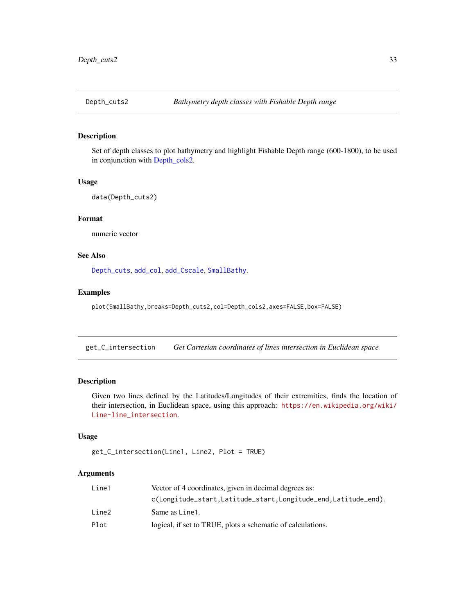<span id="page-32-1"></span><span id="page-32-0"></span>

### Description

Set of depth classes to plot bathymetry and highlight Fishable Depth range (600-1800), to be used in conjunction with [Depth\\_cols2.](#page-31-2)

#### Usage

data(Depth\_cuts2)

#### Format

numeric vector

### See Also

[Depth\\_cuts](#page-31-1), [add\\_col](#page-2-1), [add\\_Cscale](#page-3-1), [SmallBathy](#page-49-1).

#### Examples

plot(SmallBathy,breaks=Depth\_cuts2,col=Depth\_cols2,axes=FALSE,box=FALSE)

get\_C\_intersection *Get Cartesian coordinates of lines intersection in Euclidean space*

### Description

Given two lines defined by the Latitudes/Longitudes of their extremities, finds the location of their intersection, in Euclidean space, using this approach: [https://en.wikipedia.org/wiki/](https://en.wikipedia.org/wiki/Line-line_intersection) [Line-line\\_intersection](https://en.wikipedia.org/wiki/Line-line_intersection).

#### Usage

```
get_C_intersection(Line1, Line2, Plot = TRUE)
```
### Arguments

| Line1 | Vector of 4 coordinates, given in decimal degrees as:         |
|-------|---------------------------------------------------------------|
|       | c(Longitude_start,Latitude_start,Longitude_end,Latitude_end). |
| Line2 | Same as Line 1.                                               |
| Plot  | logical, if set to TRUE, plots a schematic of calculations.   |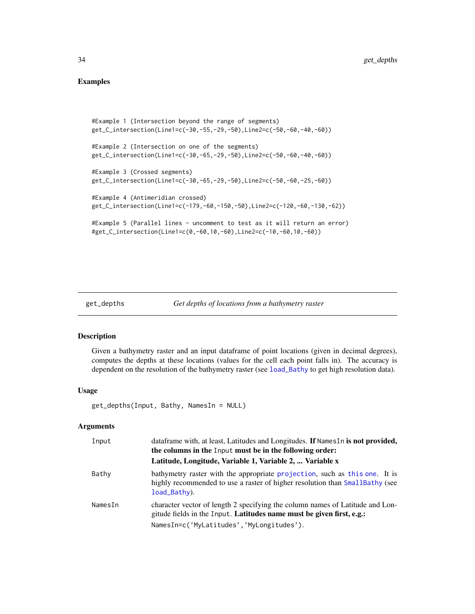### <span id="page-33-0"></span>Examples

```
#Example 1 (Intersection beyond the range of segments)
get_C_intersection(Line1=c(-30,-55,-29,-50),Line2=c(-50,-60,-40,-60))
#Example 2 (Intersection on one of the segments)
get_C_intersection(Line1=c(-30,-65,-29,-50),Line2=c(-50,-60,-40,-60))
#Example 3 (Crossed segments)
get_C_intersection(Line1=c(-30,-65,-29,-50),Line2=c(-50,-60,-25,-60))
#Example 4 (Antimeridian crossed)
get_C_intersection(Line1=c(-179,-60,-150,-50),Line2=c(-120,-60,-130,-62))
#Example 5 (Parallel lines - uncomment to test as it will return an error)
#get_C_intersection(Line1=c(0,-60,10,-60),Line2=c(-10,-60,10,-60))
```

```
get_depths Get depths of locations from a bathymetry raster
```
### Description

Given a bathymetry raster and an input dataframe of point locations (given in decimal degrees), computes the depths at these locations (values for the cell each point falls in). The accuracy is dependent on the resolution of the bathymetry raster (see [load\\_Bathy](#page-37-1) to get high resolution data).

#### Usage

```
get_depths(Input, Bathy, NamesIn = NULL)
```
#### Arguments

| Input   | dataframe with, at least, Latitudes and Longitudes. If Names In is not provided,<br>the columns in the Input must be in the following order:                               |
|---------|----------------------------------------------------------------------------------------------------------------------------------------------------------------------------|
|         | Latitude, Longitude, Variable 1, Variable 2,  Variable x                                                                                                                   |
| Bathy   | bathymetry raster with the appropriate projection, such as this one. It is<br>highly recommended to use a raster of higher resolution than SmallBathy (see<br>load_Bathy). |
| NamesIn | character vector of length 2 specifying the column names of Latitude and Lon-<br>gitude fields in the Input. Latitudes name must be given first, e.g.:                     |
|         | NamesIn=c('MyLatitudes','MyLongitudes').                                                                                                                                   |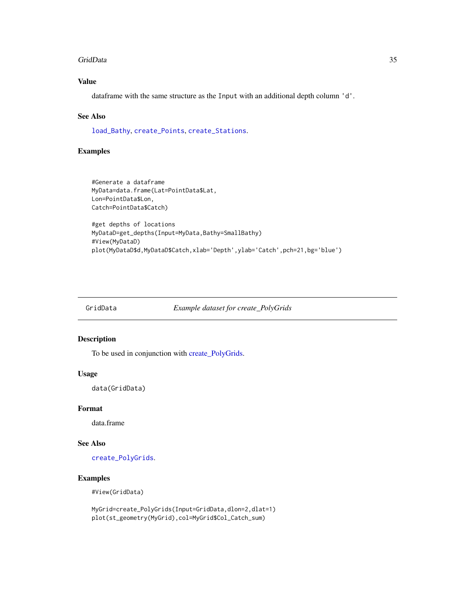#### <span id="page-34-0"></span>GridData 35

### Value

dataframe with the same structure as the Input with an additional depth column 'd'.

#### See Also

[load\\_Bathy](#page-37-1), [create\\_Points](#page-22-1), [create\\_Stations](#page-28-1).

#### Examples

```
#Generate a dataframe
MyData=data.frame(Lat=PointData$Lat,
Lon=PointData$Lon,
Catch=PointData$Catch)
```

```
#get depths of locations
MyDataD=get_depths(Input=MyData,Bathy=SmallBathy)
#View(MyDataD)
plot(MyDataD$d,MyDataD$Catch,xlab='Depth',ylab='Catch',pch=21,bg='blue')
```
GridData *Example dataset for create\_PolyGrids*

#### Description

To be used in conjunction with [create\\_PolyGrids.](#page-24-1)

#### Usage

data(GridData)

### Format

data.frame

### See Also

[create\\_PolyGrids](#page-24-1).

### Examples

#View(GridData)

MyGrid=create\_PolyGrids(Input=GridData,dlon=2,dlat=1) plot(st\_geometry(MyGrid),col=MyGrid\$Col\_Catch\_sum)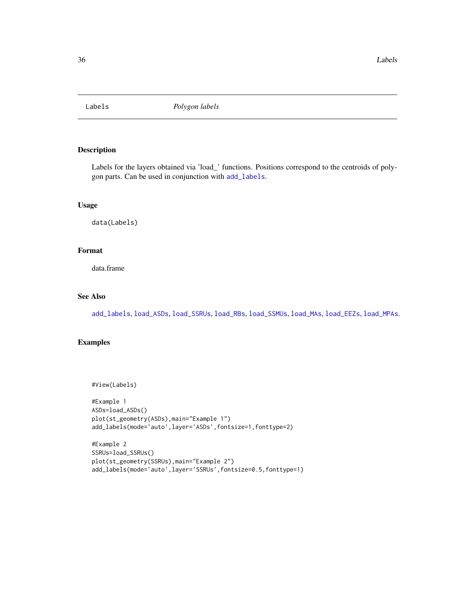<span id="page-35-1"></span><span id="page-35-0"></span>

### Description

Labels for the layers obtained via 'load\_' functions. Positions correspond to the centroids of polygon parts. Can be used in conjunction with [add\\_labels](#page-5-1).

### Usage

data(Labels)

### Format

data.frame

#### See Also

[add\\_labels](#page-5-1), [load\\_ASDs](#page-36-1), [load\\_SSRUs](#page-43-1), [load\\_RBs](#page-41-1), [load\\_SSMUs](#page-42-1), [load\\_MAs](#page-40-1), [load\\_EEZs](#page-39-1), [load\\_MPAs](#page-41-2).

### Examples

```
#View(Labels)
```

```
#Example 1
ASDs=load_ASDs()
plot(st_geometry(ASDs),main="Example 1")
add_labels(mode='auto',layer='ASDs',fontsize=1,fonttype=2)
```

```
#Example 2
SSRUs=load_SSRUs()
plot(st_geometry(SSRUs),main="Example 2")
add_labels(mode='auto',layer='SSRUs',fontsize=0.5,fonttype=1)
```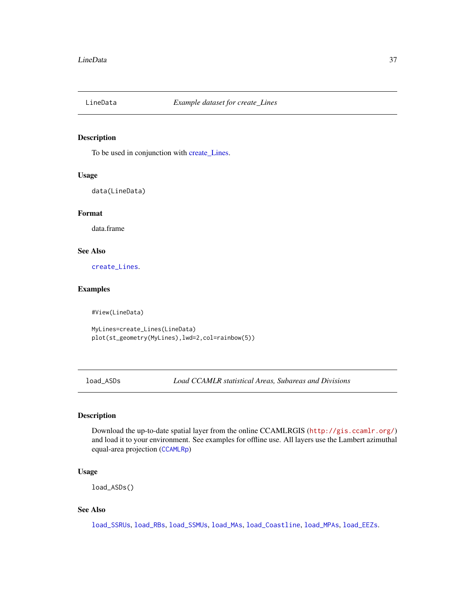<span id="page-36-0"></span>

### Description

To be used in conjunction with [create\\_Lines.](#page-17-1)

#### Usage

data(LineData)

### Format

data.frame

### See Also

[create\\_Lines](#page-17-1).

### Examples

#View(LineData)

MyLines=create\_Lines(LineData) plot(st\_geometry(MyLines),lwd=2,col=rainbow(5))

<span id="page-36-1"></span>load\_ASDs *Load CCAMLR statistical Areas, Subareas and Divisions*

### Description

Download the up-to-date spatial layer from the online CCAMLRGIS (<http://gis.ccamlr.org/>) and load it to your environment. See examples for offline use. All layers use the Lambert azimuthal equal-area projection ([CCAMLRp](#page-15-2))

#### Usage

load\_ASDs()

#### See Also

[load\\_SSRUs](#page-43-1), [load\\_RBs](#page-41-1), [load\\_SSMUs](#page-42-1), [load\\_MAs](#page-40-1), [load\\_Coastline](#page-38-1), [load\\_MPAs](#page-41-2), [load\\_EEZs](#page-39-1).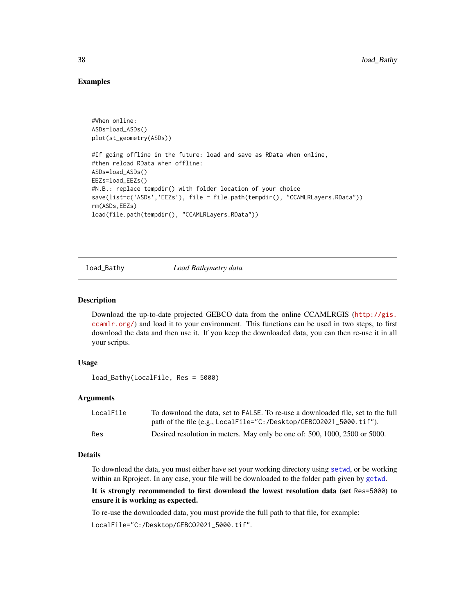### Examples

```
#When online:
ASDs=load_ASDs()
plot(st_geometry(ASDs))
#If going offline in the future: load and save as RData when online,
#then reload RData when offline:
ASDs=load_ASDs()
EEZs=load_EEZs()
#N.B.: replace tempdir() with folder location of your choice
save(list=c('ASDs','EEZs'), file = file.path(tempdir(), "CCAMLRLayers.RData"))
rm(ASDs,EEZs)
load(file.path(tempdir(), "CCAMLRLayers.RData"))
```
<span id="page-37-1"></span>

load\_Bathy *Load Bathymetry data*

### Description

Download the up-to-date projected GEBCO data from the online CCAMLRGIS ([http://gis.](http://gis.ccamlr.org/) [ccamlr.org/](http://gis.ccamlr.org/)) and load it to your environment. This functions can be used in two steps, to first download the data and then use it. If you keep the downloaded data, you can then re-use it in all your scripts.

#### Usage

load\_Bathy(LocalFile, Res = 5000)

#### Arguments

| LocalFile | To download the data, set to FALSE. To re-use a downloaded file, set to the full |
|-----------|----------------------------------------------------------------------------------|
|           | path of the file (e.g., LocalFile="C:/Desktop/GEBC02021_5000.tif").              |
| Res       | Desired resolution in meters. May only be one of: 500, 1000, 2500 or 5000.       |

#### Details

To download the data, you must either have set your working directory using [setwd](#page-0-0), or be working within an Rproject. In any case, your file will be downloaded to the folder path given by [getwd](#page-0-0).

### It is strongly recommended to first download the lowest resolution data (set Res=5000) to ensure it is working as expected.

To re-use the downloaded data, you must provide the full path to that file, for example:

LocalFile="C:/Desktop/GEBCO2021\_5000.tif".

<span id="page-37-0"></span>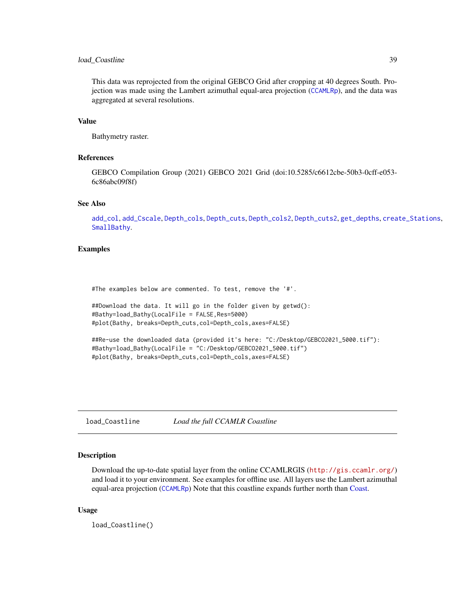### <span id="page-38-0"></span>load\_Coastline 39

This data was reprojected from the original GEBCO Grid after cropping at 40 degrees South. Projection was made using the Lambert azimuthal equal-area projection ([CCAMLRp](#page-15-2)), and the data was aggregated at several resolutions.

### Value

Bathymetry raster.

### References

GEBCO Compilation Group (2021) GEBCO 2021 Grid (doi:10.5285/c6612cbe-50b3-0cff-e053- 6c86abc09f8f)

### See Also

[add\\_col](#page-2-1), [add\\_Cscale](#page-3-1), [Depth\\_cols](#page-30-1), [Depth\\_cuts](#page-31-1), [Depth\\_cols2](#page-31-2), [Depth\\_cuts2](#page-32-1), [get\\_depths](#page-33-1), [create\\_Stations](#page-28-1), [SmallBathy](#page-49-1).

### Examples

#The examples below are commented. To test, remove the '#'.

```
##Download the data. It will go in the folder given by getwd():
#Bathy=load_Bathy(LocalFile = FALSE,Res=5000)
#plot(Bathy, breaks=Depth_cuts,col=Depth_cols,axes=FALSE)
```

```
##Re-use the downloaded data (provided it's here: "C:/Desktop/GEBCO2021_5000.tif"):
#Bathy=load_Bathy(LocalFile = "C:/Desktop/GEBCO2021_5000.tif")
#plot(Bathy, breaks=Depth_cuts,col=Depth_cols,axes=FALSE)
```
<span id="page-38-1"></span>load\_Coastline *Load the full CCAMLR Coastline*

#### Description

Download the up-to-date spatial layer from the online CCAMLRGIS (<http://gis.ccamlr.org/>) and load it to your environment. See examples for offline use. All layers use the Lambert azimuthal equal-area projection ([CCAMLRp](#page-15-2)) Note that this coastline expands further north than [Coast.](#page-16-1)

#### Usage

load\_Coastline()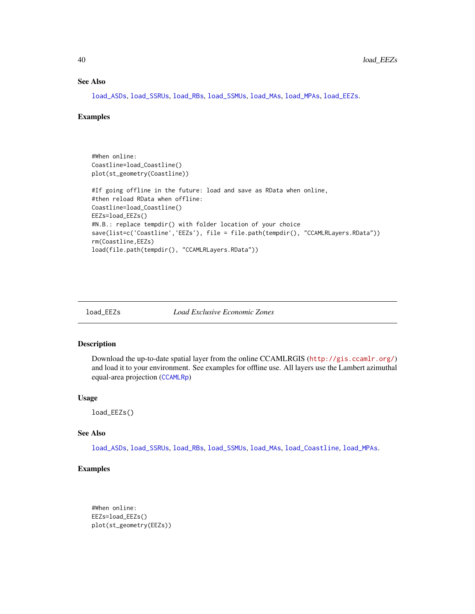### See Also

[load\\_ASDs](#page-36-1), [load\\_SSRUs](#page-43-1), [load\\_RBs](#page-41-1), [load\\_SSMUs](#page-42-1), [load\\_MAs](#page-40-1), [load\\_MPAs](#page-41-2), [load\\_EEZs](#page-39-1).

#### Examples

```
#When online:
Coastline=load_Coastline()
plot(st_geometry(Coastline))
#If going offline in the future: load and save as RData when online,
#then reload RData when offline:
Coastline=load_Coastline()
EEZs=load_EEZs()
#N.B.: replace tempdir() with folder location of your choice
save(list=c('Coastline','EEZs'), file = file.path(tempdir(), "CCAMLRLayers.RData"))
rm(Coastline,EEZs)
load(file.path(tempdir(), "CCAMLRLayers.RData"))
```

```
load_EEZs Load Exclusive Economic Zones
```
### Description

Download the up-to-date spatial layer from the online CCAMLRGIS (<http://gis.ccamlr.org/>) and load it to your environment. See examples for offline use. All layers use the Lambert azimuthal equal-area projection ([CCAMLRp](#page-15-2))

#### Usage

load\_EEZs()

### See Also

[load\\_ASDs](#page-36-1), [load\\_SSRUs](#page-43-1), [load\\_RBs](#page-41-1), [load\\_SSMUs](#page-42-1), [load\\_MAs](#page-40-1), [load\\_Coastline](#page-38-1), [load\\_MPAs](#page-41-2).

### Examples

```
#When online:
EEZs=load_EEZs()
plot(st_geometry(EEZs))
```
<span id="page-39-0"></span>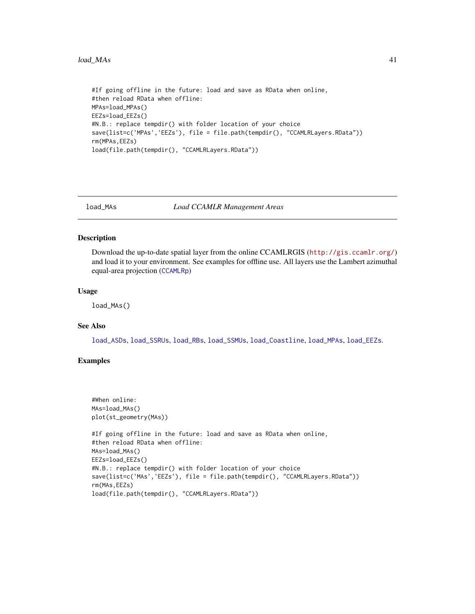#### <span id="page-40-0"></span> $\log_{10}$  and  $\log_{10}$  41

```
#If going offline in the future: load and save as RData when online,
#then reload RData when offline:
MPAs=load_MPAs()
EEZs=load_EEZs()
#N.B.: replace tempdir() with folder location of your choice
save(list=c('MPAs','EEZs'), file = file.path(tempdir(), "CCAMLRLayers.RData"))
rm(MPAs,EEZs)
load(file.path(tempdir(), "CCAMLRLayers.RData"))
```
<span id="page-40-1"></span>load\_MAs *Load CCAMLR Management Areas*

#### Description

Download the up-to-date spatial layer from the online CCAMLRGIS (<http://gis.ccamlr.org/>) and load it to your environment. See examples for offline use. All layers use the Lambert azimuthal equal-area projection ([CCAMLRp](#page-15-2))

#### Usage

load\_MAs()

### See Also

[load\\_ASDs](#page-36-1), [load\\_SSRUs](#page-43-1), [load\\_RBs](#page-41-1), [load\\_SSMUs](#page-42-1), [load\\_Coastline](#page-38-1), [load\\_MPAs](#page-41-2), [load\\_EEZs](#page-39-1).

### Examples

```
#When online:
MAs=load_MAs()
plot(st_geometry(MAs))
#If going offline in the future: load and save as RData when online,
#then reload RData when offline:
MAs=load_MAs()
EEZs=load_EEZs()
#N.B.: replace tempdir() with folder location of your choice
save(list=c('MAs','EEZs'), file = file.path(tempdir(), "CCAMLRLayers.RData"))
rm(MAs,EEZs)
load(file.path(tempdir(), "CCAMLRLayers.RData"))
```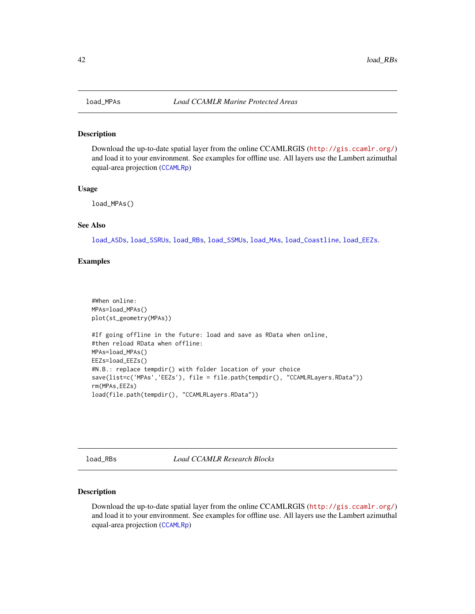#### Description

Download the up-to-date spatial layer from the online CCAMLRGIS (<http://gis.ccamlr.org/>) and load it to your environment. See examples for offline use. All layers use the Lambert azimuthal equal-area projection ([CCAMLRp](#page-15-2))

#### Usage

load\_MPAs()

### See Also

[load\\_ASDs](#page-36-1), [load\\_SSRUs](#page-43-1), [load\\_RBs](#page-41-1), [load\\_SSMUs](#page-42-1), [load\\_MAs](#page-40-1), [load\\_Coastline](#page-38-1), [load\\_EEZs](#page-39-1).

### Examples

```
#When online:
MPAs=load_MPAs()
plot(st_geometry(MPAs))
#If going offline in the future: load and save as RData when online,
#then reload RData when offline:
MPAs=load_MPAs()
EEZs=load_EEZs()
#N.B.: replace tempdir() with folder location of your choice
save(list=c('MPAs','EEZs'), file = file.path(tempdir(), "CCAMLRLayers.RData"))
rm(MPAs,EEZs)
load(file.path(tempdir(), "CCAMLRLayers.RData"))
```
<span id="page-41-1"></span>load\_RBs *Load CCAMLR Research Blocks*

### Description

Download the up-to-date spatial layer from the online CCAMLRGIS (<http://gis.ccamlr.org/>) and load it to your environment. See examples for offline use. All layers use the Lambert azimuthal equal-area projection ([CCAMLRp](#page-15-2))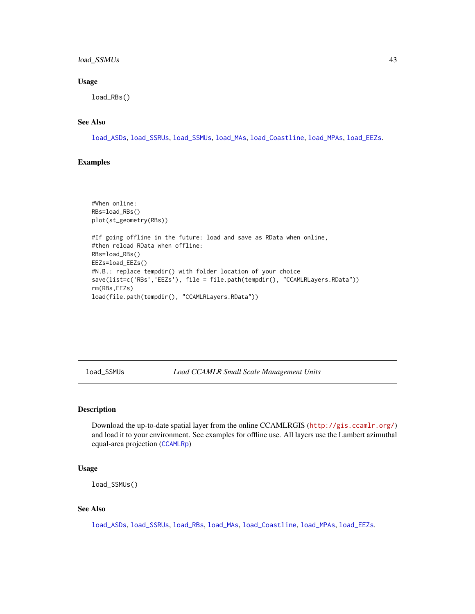### <span id="page-42-0"></span>load\_SSMUs 43

### Usage

load\_RBs()

### See Also

[load\\_ASDs](#page-36-1), [load\\_SSRUs](#page-43-1), [load\\_SSMUs](#page-42-1), [load\\_MAs](#page-40-1), [load\\_Coastline](#page-38-1), [load\\_MPAs](#page-41-2), [load\\_EEZs](#page-39-1).

### Examples

```
#When online:
RBs=load_RBs()
plot(st_geometry(RBs))
#If going offline in the future: load and save as RData when online,
#then reload RData when offline:
RBs=load_RBs()
EEZs=load_EEZs()
#N.B.: replace tempdir() with folder location of your choice
save(list=c('RBs','EEZs'), file = file.path(tempdir(), "CCAMLRLayers.RData"))
rm(RBs,EEZs)
load(file.path(tempdir(), "CCAMLRLayers.RData"))
```
<span id="page-42-1"></span>load\_SSMUs *Load CCAMLR Small Scale Management Units*

### Description

Download the up-to-date spatial layer from the online CCAMLRGIS (<http://gis.ccamlr.org/>) and load it to your environment. See examples for offline use. All layers use the Lambert azimuthal equal-area projection ([CCAMLRp](#page-15-2))

#### Usage

```
load_SSMUs()
```
#### See Also

[load\\_ASDs](#page-36-1), [load\\_SSRUs](#page-43-1), [load\\_RBs](#page-41-1), [load\\_MAs](#page-40-1), [load\\_Coastline](#page-38-1), [load\\_MPAs](#page-41-2), [load\\_EEZs](#page-39-1).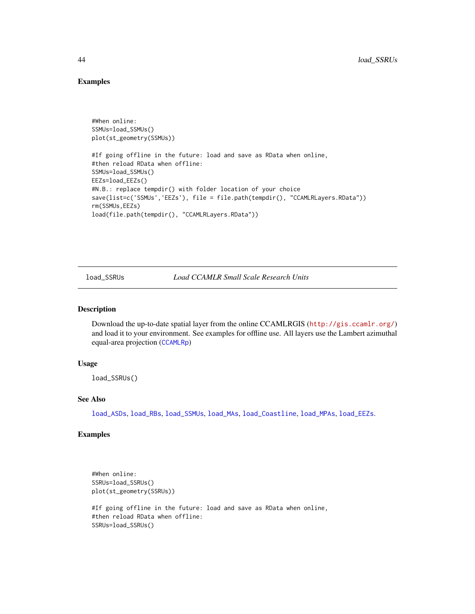#### Examples

```
#When online:
SSMUs=load_SSMUs()
plot(st_geometry(SSMUs))
#If going offline in the future: load and save as RData when online,
#then reload RData when offline:
SSMUs=load_SSMUs()
EEZs=load_EEZs()
#N.B.: replace tempdir() with folder location of your choice
save(list=c('SSMUs','EEZs'), file = file.path(tempdir(), "CCAMLRLayers.RData"))
rm(SSMUs,EEZs)
load(file.path(tempdir(), "CCAMLRLayers.RData"))
```
<span id="page-43-1"></span>load\_SSRUs *Load CCAMLR Small Scale Research Units*

#### Description

Download the up-to-date spatial layer from the online CCAMLRGIS (<http://gis.ccamlr.org/>) and load it to your environment. See examples for offline use. All layers use the Lambert azimuthal equal-area projection ([CCAMLRp](#page-15-2))

#### Usage

load\_SSRUs()

#### See Also

[load\\_ASDs](#page-36-1), [load\\_RBs](#page-41-1), [load\\_SSMUs](#page-42-1), [load\\_MAs](#page-40-1), [load\\_Coastline](#page-38-1), [load\\_MPAs](#page-41-2), [load\\_EEZs](#page-39-1).

### Examples

```
#When online:
SSRUs=load_SSRUs()
plot(st_geometry(SSRUs))
#If going offline in the future: load and save as RData when online,
#then reload RData when offline:
SSRUs=load_SSRUs()
```
<span id="page-43-0"></span>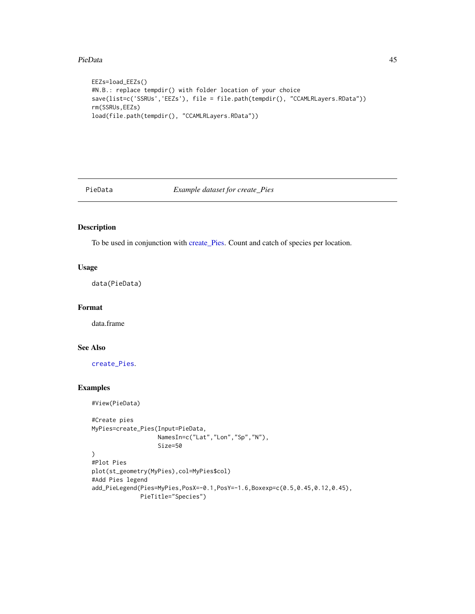#### <span id="page-44-0"></span>PieData and the set of the set of the set of the set of the set of the set of the set of the set of the set of the set of the set of the set of the set of the set of the set of the set of the set of the set of the set of t

```
EEZs=load_EEZs()
#N.B.: replace tempdir() with folder location of your choice
save(list=c('SSRUs','EEZs'), file = file.path(tempdir(), "CCAMLRLayers.RData"))
rm(SSRUs,EEZs)
load(file.path(tempdir(), "CCAMLRLayers.RData"))
```
<span id="page-44-1"></span>

PieData *Example dataset for create\_Pies*

### Description

To be used in conjunction with [create\\_Pies.](#page-19-1) Count and catch of species per location.

### Usage

data(PieData)

### Format

data.frame

### See Also

[create\\_Pies](#page-19-1).

### Examples

#View(PieData)

```
#Create pies
MyPies=create_Pies(Input=PieData,
                  NamesIn=c("Lat","Lon","Sp","N"),
                   Size=50
)
#Plot Pies
plot(st_geometry(MyPies),col=MyPies$col)
#Add Pies legend
add_PieLegend(Pies=MyPies,PosX=-0.1,PosY=-1.6,Boxexp=c(0.5,0.45,0.12,0.45),
              PieTitle="Species")
```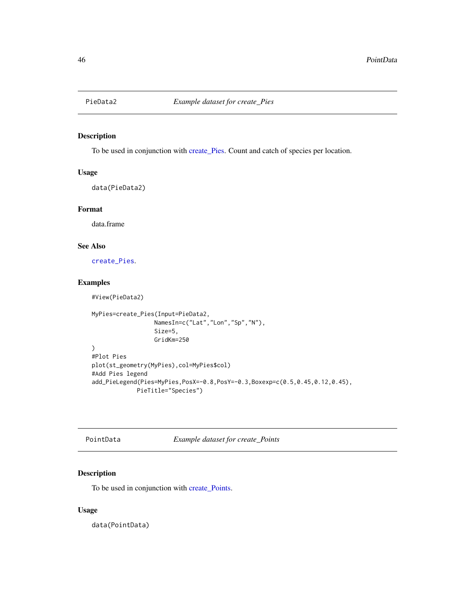<span id="page-45-1"></span><span id="page-45-0"></span>

### Description

To be used in conjunction with [create\\_Pies.](#page-19-1) Count and catch of species per location.

### Usage

data(PieData2)

### Format

data.frame

#### See Also

[create\\_Pies](#page-19-1).

### Examples

#View(PieData2)

```
MyPies=create_Pies(Input=PieData2,
                  NamesIn=c("Lat","Lon","Sp","N"),
                  Size=5,
                  GridKm=250
)
#Plot Pies
plot(st_geometry(MyPies),col=MyPies$col)
#Add Pies legend
add_PieLegend(Pies=MyPies,PosX=-0.8,PosY=-0.3,Boxexp=c(0.5,0.45,0.12,0.45),
             PieTitle="Species")
```
PointData *Example dataset for create\_Points*

### Description

To be used in conjunction with [create\\_Points.](#page-22-1)

#### Usage

data(PointData)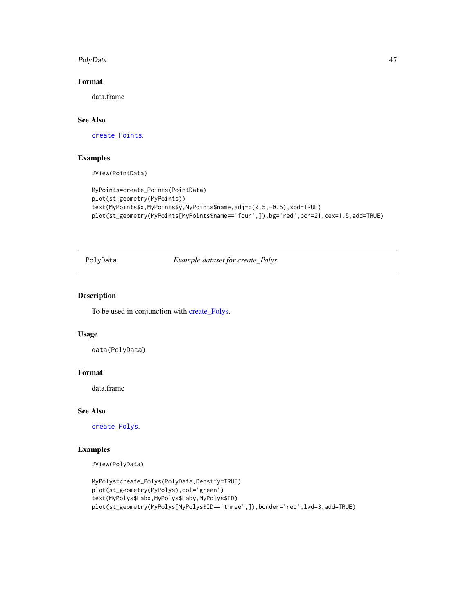#### <span id="page-46-0"></span>PolyData 2008 and 2008 and 2008 and 2008 and 2008 and 2008 and 2008 and 2008 and 2008 and 2008 and 2008 and 20

### Format

data.frame

## See Also

[create\\_Points](#page-22-1).

### Examples

#View(PointData)

```
MyPoints=create_Points(PointData)
plot(st_geometry(MyPoints))
text(MyPoints$x,MyPoints$y,MyPoints$name,adj=c(0.5,-0.5),xpd=TRUE)
plot(st_geometry(MyPoints[MyPoints$name=='four',]),bg='red',pch=21,cex=1.5,add=TRUE)
```
PolyData *Example dataset for create\_Polys*

### Description

To be used in conjunction with [create\\_Polys.](#page-26-1)

### Usage

data(PolyData)

#### Format

data.frame

#### See Also

[create\\_Polys](#page-26-1).

### Examples

#View(PolyData)

```
MyPolys=create_Polys(PolyData,Densify=TRUE)
plot(st_geometry(MyPolys),col='green')
text(MyPolys$Labx,MyPolys$Laby,MyPolys$ID)
plot(st_geometry(MyPolys[MyPolys$ID=='three',]),border='red',lwd=3,add=TRUE)
```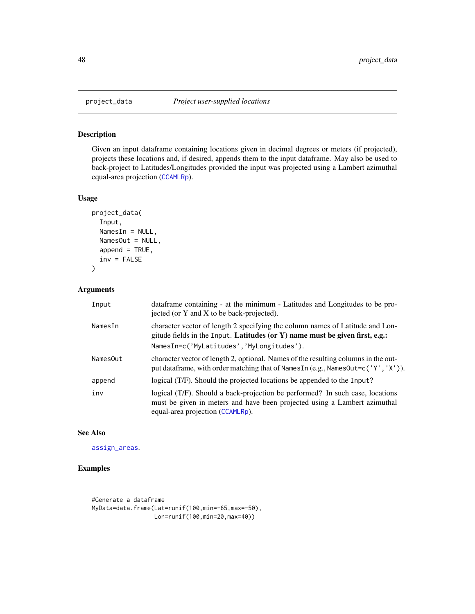<span id="page-47-0"></span>

### Description

Given an input dataframe containing locations given in decimal degrees or meters (if projected), projects these locations and, if desired, appends them to the input dataframe. May also be used to back-project to Latitudes/Longitudes provided the input was projected using a Lambert azimuthal equal-area projection ([CCAMLRp](#page-15-2)).

#### Usage

```
project_data(
  Input,
  NamesIn = NULL,NamesOut = NULL,
  append = TRUE,inv = FALSE
\mathcal{L}
```
### Arguments

| Input    | dataframe containing - at the minimum - Latitudes and Longitudes to be pro-<br>jected (or Y and X to be back-projected).                                                                                  |
|----------|-----------------------------------------------------------------------------------------------------------------------------------------------------------------------------------------------------------|
| NamesIn  | character vector of length 2 specifying the column names of Latitude and Lon-<br>gitude fields in the Input. Latitudes (or Y) name must be given first, e.g.:<br>NamesIn=c('MyLatitudes','MyLongitudes'). |
| NamesOut | character vector of length 2, optional. Names of the resulting columns in the out-<br>put dataframe, with order matching that of NamesIn (e.g., NamesOut=c('Y', 'X')).                                    |
| append   | logical (T/F). Should the projected locations be appended to the Input?                                                                                                                                   |
| inv      | logical (T/F). Should a back-projection be performed? In such case, locations<br>must be given in meters and have been projected using a Lambert azimuthal<br>equal-area projection (CCAMLRp).            |

### See Also

[assign\\_areas](#page-12-1).

### Examples

#Generate a dataframe MyData=data.frame(Lat=runif(100,min=-65,max=-50), Lon=runif(100,min=20,max=40))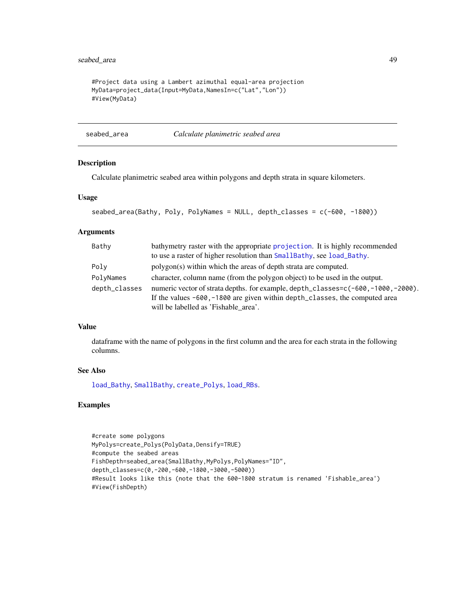### <span id="page-48-0"></span>seabed\_area 49

```
#Project data using a Lambert azimuthal equal-area projection
MyData=project_data(Input=MyData,NamesIn=c("Lat","Lon"))
#View(MyData)
```
seabed\_area *Calculate planimetric seabed area*

#### Description

Calculate planimetric seabed area within polygons and depth strata in square kilometers.

#### Usage

```
seabed_area(Bathy, Poly, PolyNames = NULL, depth_classes = c(-600, -1800))
```
### Arguments

| Bathy         | bathymetry raster with the appropriate projection. It is highly recommended      |
|---------------|----------------------------------------------------------------------------------|
|               | to use a raster of higher resolution than SmallBathy, see load_Bathy.            |
| Poly          | polygon(s) within which the areas of depth strata are computed.                  |
| PolyNames     | character, column name (from the polygon object) to be used in the output.       |
| depth_classes | numeric vector of strata depths. for example, depth_classes=c(-600,-1000,-2000). |
|               | If the values -600, -1800 are given within depth_classes, the computed area      |
|               | will be labelled as 'Fishable_area'.                                             |

#### Value

dataframe with the name of polygons in the first column and the area for each strata in the following columns.

### See Also

[load\\_Bathy](#page-37-1), [SmallBathy](#page-49-1), [create\\_Polys](#page-26-1), [load\\_RBs](#page-41-1).

### Examples

```
#create some polygons
MyPolys=create_Polys(PolyData,Densify=TRUE)
#compute the seabed areas
FishDepth=seabed_area(SmallBathy,MyPolys,PolyNames="ID",
depth_classes=c(0,-200,-600,-1800,-3000,-5000))
#Result looks like this (note that the 600-1800 stratum is renamed 'Fishable_area')
#View(FishDepth)
```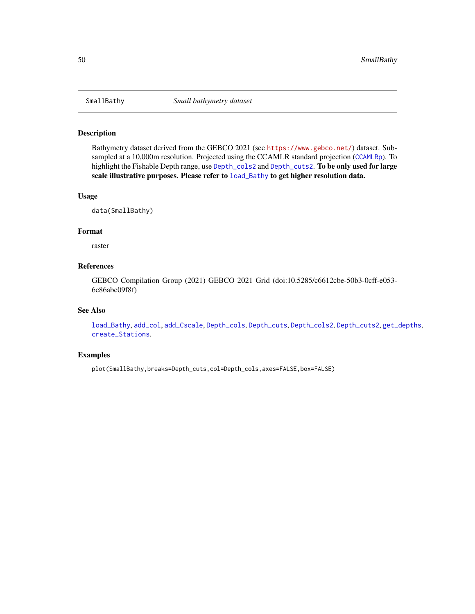<span id="page-49-1"></span><span id="page-49-0"></span>

### Description

Bathymetry dataset derived from the GEBCO 2021 (see <https://www.gebco.net/>) dataset. Sub-sampled at a 10,000m resolution. Projected using the CCAMLR standard projection ([CCAMLRp](#page-15-2)). To highlight the Fishable Depth range, use [Depth\\_cols2](#page-31-2) and [Depth\\_cuts2](#page-32-1). To be only used for large scale illustrative purposes. Please refer to [load\\_Bathy](#page-37-1) to get higher resolution data.

#### Usage

data(SmallBathy)

#### Format

raster

#### References

GEBCO Compilation Group (2021) GEBCO 2021 Grid (doi:10.5285/c6612cbe-50b3-0cff-e053- 6c86abc09f8f)

### See Also

[load\\_Bathy](#page-37-1), [add\\_col](#page-2-1), [add\\_Cscale](#page-3-1), [Depth\\_cols](#page-30-1), [Depth\\_cuts](#page-31-1), [Depth\\_cols2](#page-31-2), [Depth\\_cuts2](#page-32-1), [get\\_depths](#page-33-1), [create\\_Stations](#page-28-1).

### Examples

plot(SmallBathy,breaks=Depth\_cuts,col=Depth\_cols,axes=FALSE,box=FALSE)